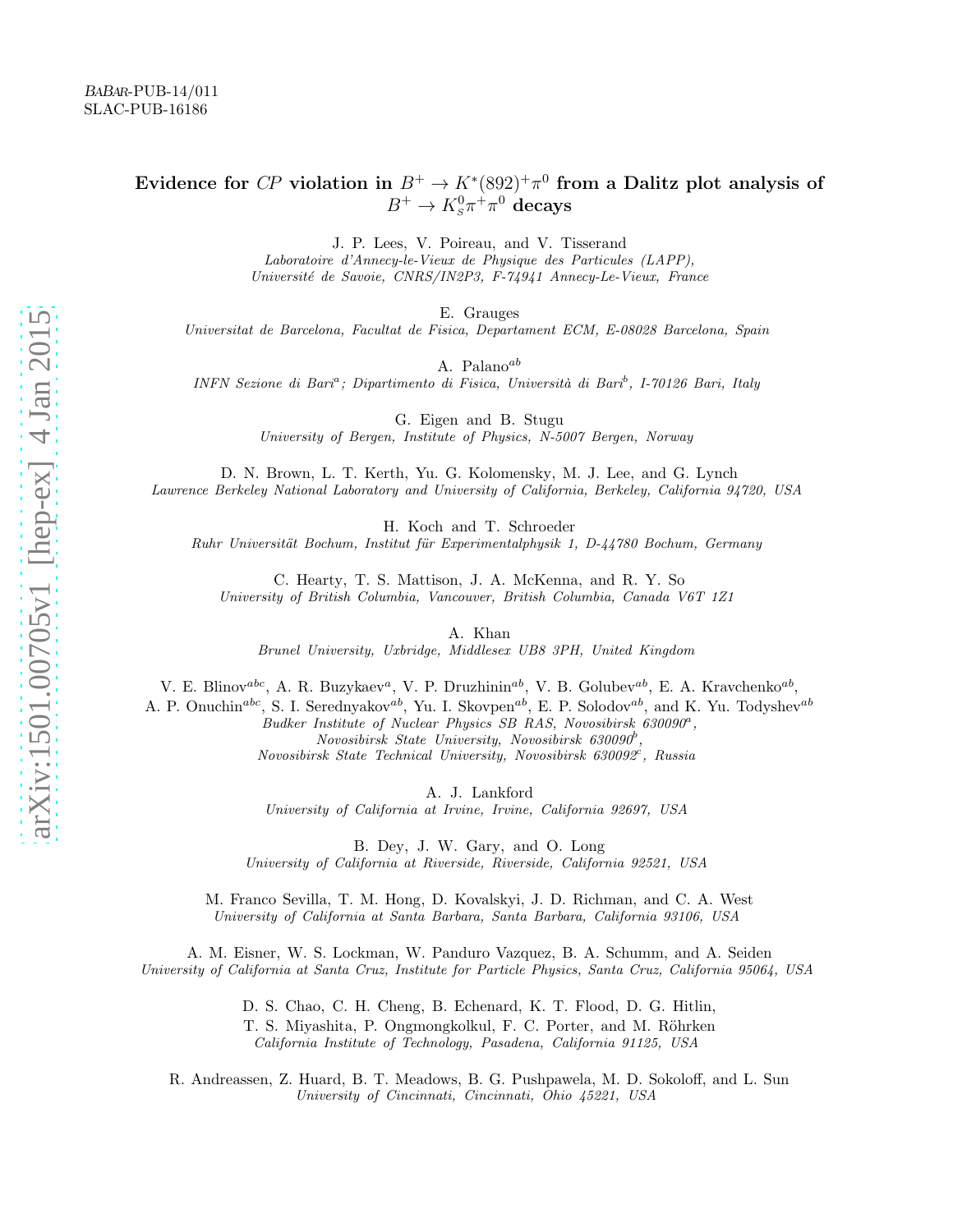# Evidence for CP violation in  $B^+ \to K^*(892)^+ \pi^0$  from a Dalitz plot analysis of  $B^+ \to K^0_s \pi^+ \pi^0$  decays

J. P. Lees, V. Poireau, and V. Tisserand

Laboratoire d'Annecy-le-Vieux de Physique des Particules (LAPP), Universit´e de Savoie, CNRS/IN2P3, F-74941 Annecy-Le-Vieux, France

E. Grauges

Universitat de Barcelona, Facultat de Fisica, Departament ECM, E-08028 Barcelona, Spain

A. Palano<sup>ab</sup>

INFN Sezione di Bari<sup>a</sup>; Dipartimento di Fisica, Università di Bari<sup>b</sup>, I-70126 Bari, Italy

G. Eigen and B. Stugu University of Bergen, Institute of Physics, N-5007 Bergen, Norway

D. N. Brown, L. T. Kerth, Yu. G. Kolomensky, M. J. Lee, and G. Lynch Lawrence Berkeley National Laboratory and University of California, Berkeley, California 94720, USA

H. Koch and T. Schroeder

Ruhr Universität Bochum, Institut für Experimentalphysik 1, D-44780 Bochum, Germany

C. Hearty, T. S. Mattison, J. A. McKenna, and R. Y. So University of British Columbia, Vancouver, British Columbia, Canada V6T 1Z1

A. Khan

Brunel University, Uxbridge, Middlesex UB8 3PH, United Kingdom

V. E. Blinov<sup>abc</sup>, A. R. Buzykaev<sup>a</sup>, V. P. Druzhinin<sup>ab</sup>, V. B. Golubev<sup>ab</sup>, E. A. Kravchenko<sup>ab</sup>,

A. P. Onuchin<sup>abc</sup>, S. I. Serednyakov<sup>ab</sup>, Yu. I. Skovpen<sup>ab</sup>, E. P. Solodov<sup>ab</sup>, and K. Yu. Todyshev<sup>ab</sup> Budker Institute of Nuclear Physics SB RAS, Novosibirsk 630090<sup>a</sup>,  $Novosibirsk$  State University, Novosibirsk 630090<sup>b</sup>, Novosibirsk State Technical University, Novosibirsk 630092<sup>c</sup>, Russia

A. J. Lankford

University of California at Irvine, Irvine, California 92697, USA

B. Dey, J. W. Gary, and O. Long

University of California at Riverside, Riverside, California 92521, USA

M. Franco Sevilla, T. M. Hong, D. Kovalskyi, J. D. Richman, and C. A. West University of California at Santa Barbara, Santa Barbara, California 93106, USA

A. M. Eisner, W. S. Lockman, W. Panduro Vazquez, B. A. Schumm, and A. Seiden University of California at Santa Cruz, Institute for Particle Physics, Santa Cruz, California 95064, USA

> D. S. Chao, C. H. Cheng, B. Echenard, K. T. Flood, D. G. Hitlin, T. S. Miyashita, P. Ongmongkolkul, F. C. Porter, and M. Röhrken California Institute of Technology, Pasadena, California 91125, USA

R. Andreassen, Z. Huard, B. T. Meadows, B. G. Pushpawela, M. D. Sokoloff, and L. Sun University of Cincinnati, Cincinnati, Ohio 45221, USA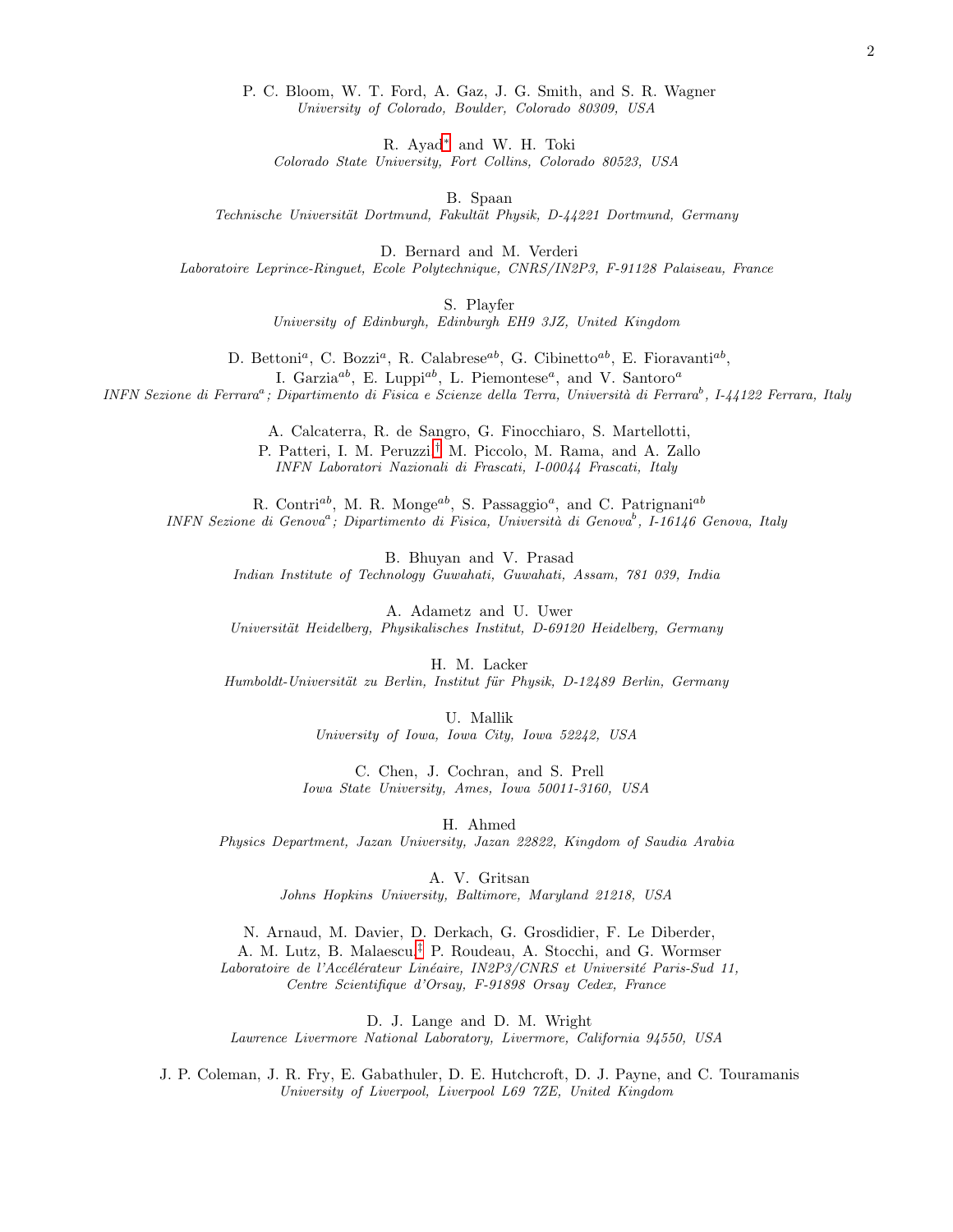R. Ayad[∗](#page-4-0) and W. H. Toki

Colorado State University, Fort Collins, Colorado 80523, USA

B. Spaan

Technische Universität Dortmund, Fakultät Physik, D-44221 Dortmund, Germany

D. Bernard and M. Verderi

Laboratoire Leprince-Ringuet, Ecole Polytechnique, CNRS/IN2P3, F-91128 Palaiseau, France

S. Playfer

University of Edinburgh, Edinburgh EH9 3JZ, United Kingdom

D. Bettoni<sup>a</sup>, C. Bozzi<sup>a</sup>, R. Calabrese<sup>ab</sup>, G. Cibinetto<sup>ab</sup>, E. Fioravanti<sup>ab</sup>, I. Garzia<sup>ab</sup>, E. Luppi<sup>ab</sup>, L. Piemontese<sup>a</sup>, and V. Santoro<sup>a</sup>

INFN Sezione di Ferrara<sup>a</sup>; Dipartimento di Fisica e Scienze della Terra, Università di Ferrara<sup>b</sup>, I-44122 Ferrara, Italy

A. Calcaterra, R. de Sangro, G. Finocchiaro, S. Martellotti, P. Patteri, I. M. Peruzzi,[†](#page-4-1) M. Piccolo, M. Rama, and A. Zallo INFN Laboratori Nazionali di Frascati, I-00044 Frascati, Italy

R. Contri<sup>ab</sup>, M. R. Monge<sup>ab</sup>, S. Passaggio<sup>a</sup>, and C. Patrignani<sup>ab</sup>  $INFN$  Sezione di Genova<sup>a</sup>; Dipartimento di Fisica, Università di Genova<sup>b</sup>, I-16146 Genova, Italy

> B. Bhuyan and V. Prasad Indian Institute of Technology Guwahati, Guwahati, Assam, 781 039, India

> A. Adametz and U. Uwer Universität Heidelberg, Physikalisches Institut, D-69120 Heidelberg, Germany

H. M. Lacker Humboldt-Universität zu Berlin, Institut für Physik, D-12489 Berlin, Germany

> U. Mallik University of Iowa, Iowa City, Iowa 52242, USA

C. Chen, J. Cochran, and S. Prell Iowa State University, Ames, Iowa 50011-3160, USA

H. Ahmed

Physics Department, Jazan University, Jazan 22822, Kingdom of Saudia Arabia

A. V. Gritsan

Johns Hopkins University, Baltimore, Maryland 21218, USA

N. Arnaud, M. Davier, D. Derkach, G. Grosdidier, F. Le Diberder,

A. M. Lutz, B. Malaescu,[‡](#page-4-2) P. Roudeau, A. Stocchi, and G. Wormser

Laboratoire de l'Accélérateur Linéaire, IN2P3/CNRS et Université Paris-Sud 11, Centre Scientifique d'Orsay, F-91898 Orsay Cedex, France

D. J. Lange and D. M. Wright Lawrence Livermore National Laboratory, Livermore, California 94550, USA

J. P. Coleman, J. R. Fry, E. Gabathuler, D. E. Hutchcroft, D. J. Payne, and C. Touramanis University of Liverpool, Liverpool L69 7ZE, United Kingdom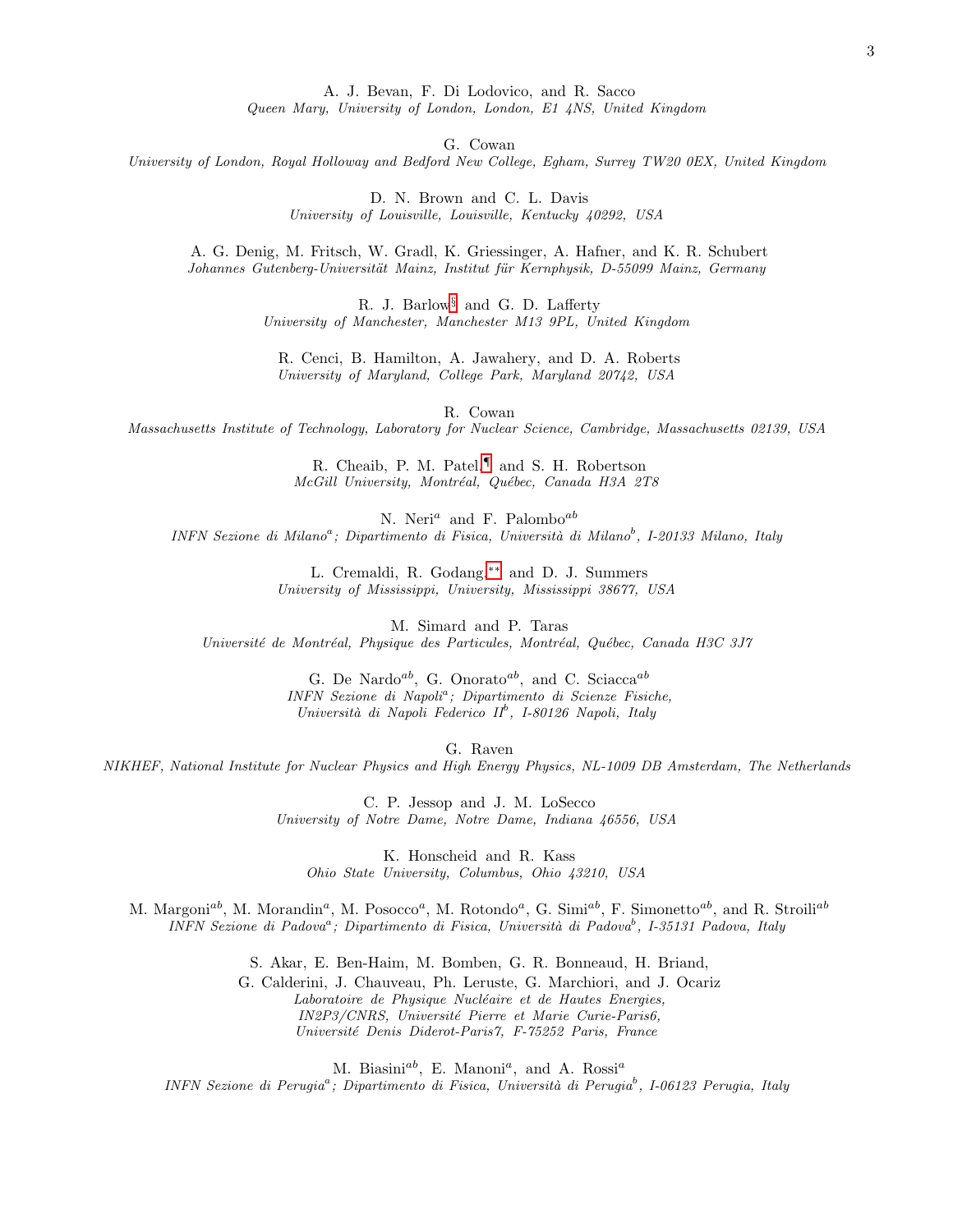A. J. Bevan, F. Di Lodovico, and R. Sacco

Queen Mary, University of London, London, E1 4NS, United Kingdom

G. Cowan

University of London, Royal Holloway and Bedford New College, Egham, Surrey TW20 0EX, United Kingdom

D. N. Brown and C. L. Davis University of Louisville, Louisville, Kentucky 40292, USA

A. G. Denig, M. Fritsch, W. Gradl, K. Griessinger, A. Hafner, and K. R. Schubert Johannes Gutenberg-Universität Mainz, Institut für Kernphysik, D-55099 Mainz, Germany

> R. J. Barlow[§](#page-4-3) and G. D. Lafferty University of Manchester, Manchester M13 9PL, United Kingdom

R. Cenci, B. Hamilton, A. Jawahery, and D. A. Roberts University of Maryland, College Park, Maryland 20742, USA

R. Cowan

Massachusetts Institute of Technology, Laboratory for Nuclear Science, Cambridge, Massachusetts 02139, USA

R. Cheaib, P. M. Patel,[¶](#page-4-4) and S. H. Robertson McGill University, Montréal, Québec, Canada H3A 2T8

N. Neri<sup>a</sup> and F. Palombo<sup>ab</sup> INFN Sezione di Milano<sup>a</sup>; Dipartimento di Fisica, Università di Milano<sup>b</sup>, I-20133 Milano, Italy

> L. Cremaldi, R. Godang,[∗∗](#page-4-5) and D. J. Summers University of Mississippi, University, Mississippi 38677, USA

M. Simard and P. Taras Université de Montréal, Physique des Particules, Montréal, Québec, Canada H3C 3J7

> G. De Nardo<sup>ab</sup>, G. Onorato<sup>ab</sup>, and C. Sciacca<sup>ab</sup> INFN Sezione di Napoli<sup>a</sup>; Dipartimento di Scienze Fisiche, Università di Napoli Federico II<sup>b</sup>, I-80126 Napoli, Italy

> > G. Raven

NIKHEF, National Institute for Nuclear Physics and High Energy Physics, NL-1009 DB Amsterdam, The Netherlands

C. P. Jessop and J. M. LoSecco University of Notre Dame, Notre Dame, Indiana 46556, USA

K. Honscheid and R. Kass Ohio State University, Columbus, Ohio 43210, USA

M. Margoni<sup>ab</sup>, M. Morandin<sup>a</sup>, M. Posocco<sup>a</sup>, M. Rotondo<sup>a</sup>, G. Simi<sup>ab</sup>, F. Simonetto<sup>ab</sup>, and R. Stroili<sup>ab</sup> INFN Sezione di Padova<sup>a</sup>; Dipartimento di Fisica, Università di Padova<sup>b</sup>, I-35131 Padova, Italy

> S. Akar, E. Ben-Haim, M. Bomben, G. R. Bonneaud, H. Briand, G. Calderini, J. Chauveau, Ph. Leruste, G. Marchiori, and J. Ocariz Laboratoire de Physique Nucléaire et de Hautes Energies, IN2P3/CNRS, Université Pierre et Marie Curie-Paris6, Université Denis Diderot-Paris7, F-75252 Paris, France

> > M. Biasini<sup>ab</sup>, E. Manoni<sup>a</sup>, and A. Rossi<sup>a</sup>

INFN Sezione di Perugia<sup>a</sup>; Dipartimento di Fisica, Università di Perugia<sup>b</sup>, I-06123 Perugia, Italy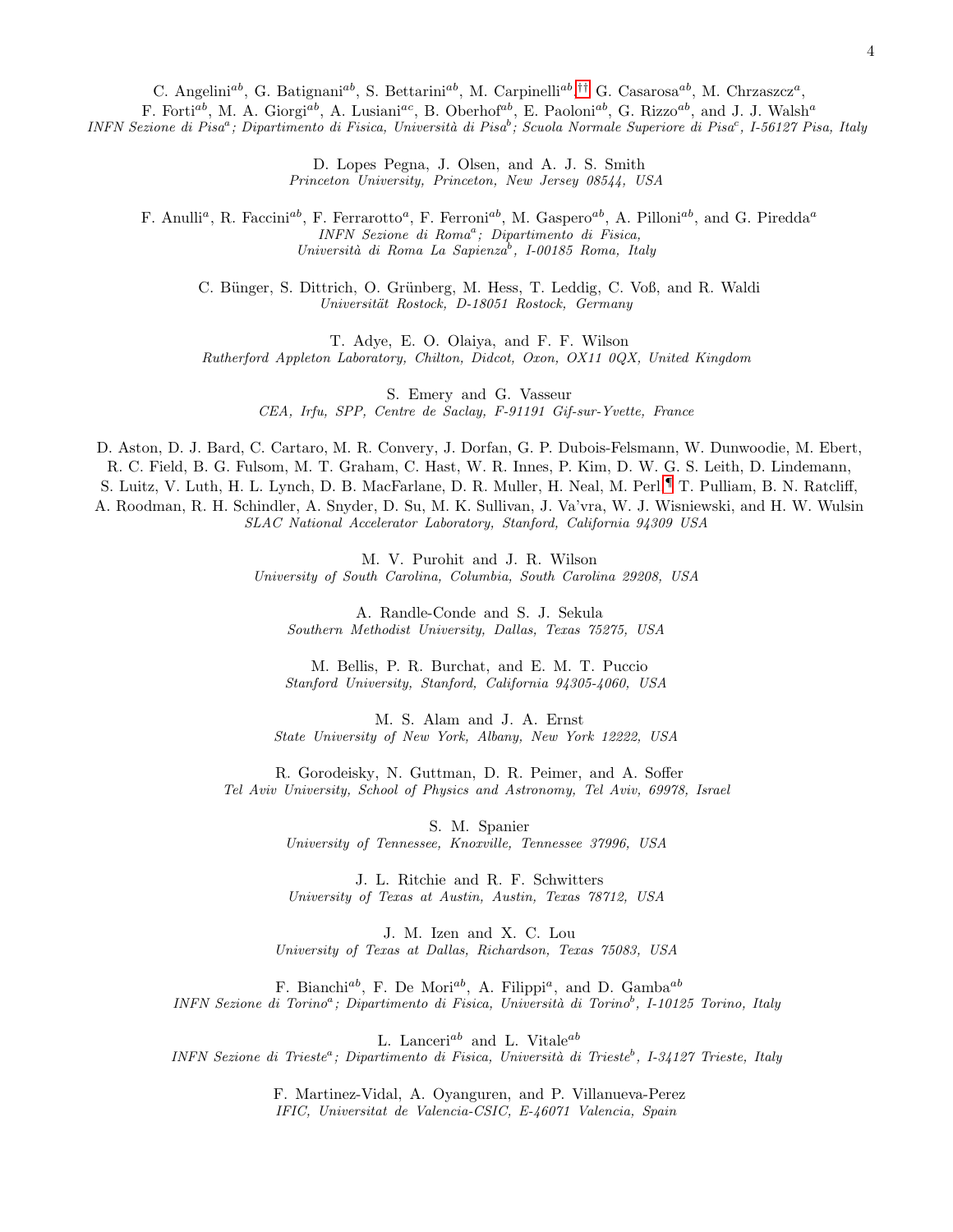C. Angelini<sup>ab</sup>, G. Batignani<sup>ab</sup>, S. Bettarini<sup>ab</sup>, M. Carpinelli<sup>ab</sup>,<sup>[††](#page-4-6)</sup> G. Casarosa<sup>ab</sup>, M. Chrzaszcz<sup>a</sup>,

F. Forti<sup>ab</sup>, M. A. Giorgi<sup>ab</sup>, A. Lusiani<sup>ac</sup>, B. Oberhof<sup>ab</sup>, E. Paoloni<sup>ab</sup>, G. Rizzo<sup>ab</sup>, and J. J. Walsh<sup>a</sup>

INFN Sezione di Pisa<sup>a</sup>; Dipartimento di Fisica, Università di Pisa<sup>b</sup>; Scuola Normale Superiore di Pisa<sup>c</sup>, I-56127 Pisa, Italy

D. Lopes Pegna, J. Olsen, and A. J. S. Smith Princeton University, Princeton, New Jersey 08544, USA

F. Anulli<sup>a</sup>, R. Faccini<sup>ab</sup>, F. Ferrarotto<sup>a</sup>, F. Ferroni<sup>ab</sup>, M. Gaspero<sup>ab</sup>, A. Pilloni<sup>ab</sup>, and G. Piredda<sup>a</sup> INFN Sezione di Roma<sup>a</sup>; Dipartimento di Fisica, Università di Roma La Sapienza<sup>b</sup>, I-00185 Roma, Italy

C. Bünger, S. Dittrich, O. Grünberg, M. Hess, T. Leddig, C. Voß, and R. Waldi Universität Rostock, D-18051 Rostock, Germany

T. Adye, E. O. Olaiya, and F. F. Wilson Rutherford Appleton Laboratory, Chilton, Didcot, Oxon, OX11 0QX, United Kingdom

S. Emery and G. Vasseur CEA, Irfu, SPP, Centre de Saclay, F-91191 Gif-sur-Yvette, France

D. Aston, D. J. Bard, C. Cartaro, M. R. Convery, J. Dorfan, G. P. Dubois-Felsmann, W. Dunwoodie, M. Ebert, R. C. Field, B. G. Fulsom, M. T. Graham, C. Hast, W. R. Innes, P. Kim, D. W. G. S. Leith, D. Lindemann, S. Luitz, V. Luth, H. L. Lynch, D. B. MacFarlane, D. R. Muller, H. Neal, M. Perl,[¶](#page-4-4) T. Pulliam, B. N. Ratcliff, A. Roodman, R. H. Schindler, A. Snyder, D. Su, M. K. Sullivan, J. Va'vra, W. J. Wisniewski, and H. W. Wulsin SLAC National Accelerator Laboratory, Stanford, California 94309 USA

> M. V. Purohit and J. R. Wilson University of South Carolina, Columbia, South Carolina 29208, USA

A. Randle-Conde and S. J. Sekula Southern Methodist University, Dallas, Texas 75275, USA

M. Bellis, P. R. Burchat, and E. M. T. Puccio Stanford University, Stanford, California 94305-4060, USA

M. S. Alam and J. A. Ernst State University of New York, Albany, New York 12222, USA

R. Gorodeisky, N. Guttman, D. R. Peimer, and A. Soffer Tel Aviv University, School of Physics and Astronomy, Tel Aviv, 69978, Israel

> S. M. Spanier University of Tennessee, Knoxville, Tennessee 37996, USA

> J. L. Ritchie and R. F. Schwitters University of Texas at Austin, Austin, Texas 78712, USA

J. M. Izen and X. C. Lou University of Texas at Dallas, Richardson, Texas 75083, USA

F. Bianchi<sup>ab</sup>, F. De Mori<sup>ab</sup>, A. Filippi<sup>a</sup>, and D. Gamba<sup>ab</sup> INFN Sezione di Torino<sup>a</sup>; Dipartimento di Fisica, Università di Torino<sup>b</sup>, I-10125 Torino, Italy

L. Lanceri<sup>ab</sup> and L. Vitale<sup>ab</sup>

INFN Sezione di Trieste<sup>a</sup>; Dipartimento di Fisica, Università di Trieste<sup>b</sup>, I-34127 Trieste, Italy

F. Martinez-Vidal, A. Oyanguren, and P. Villanueva-Perez IFIC, Universitat de Valencia-CSIC, E-46071 Valencia, Spain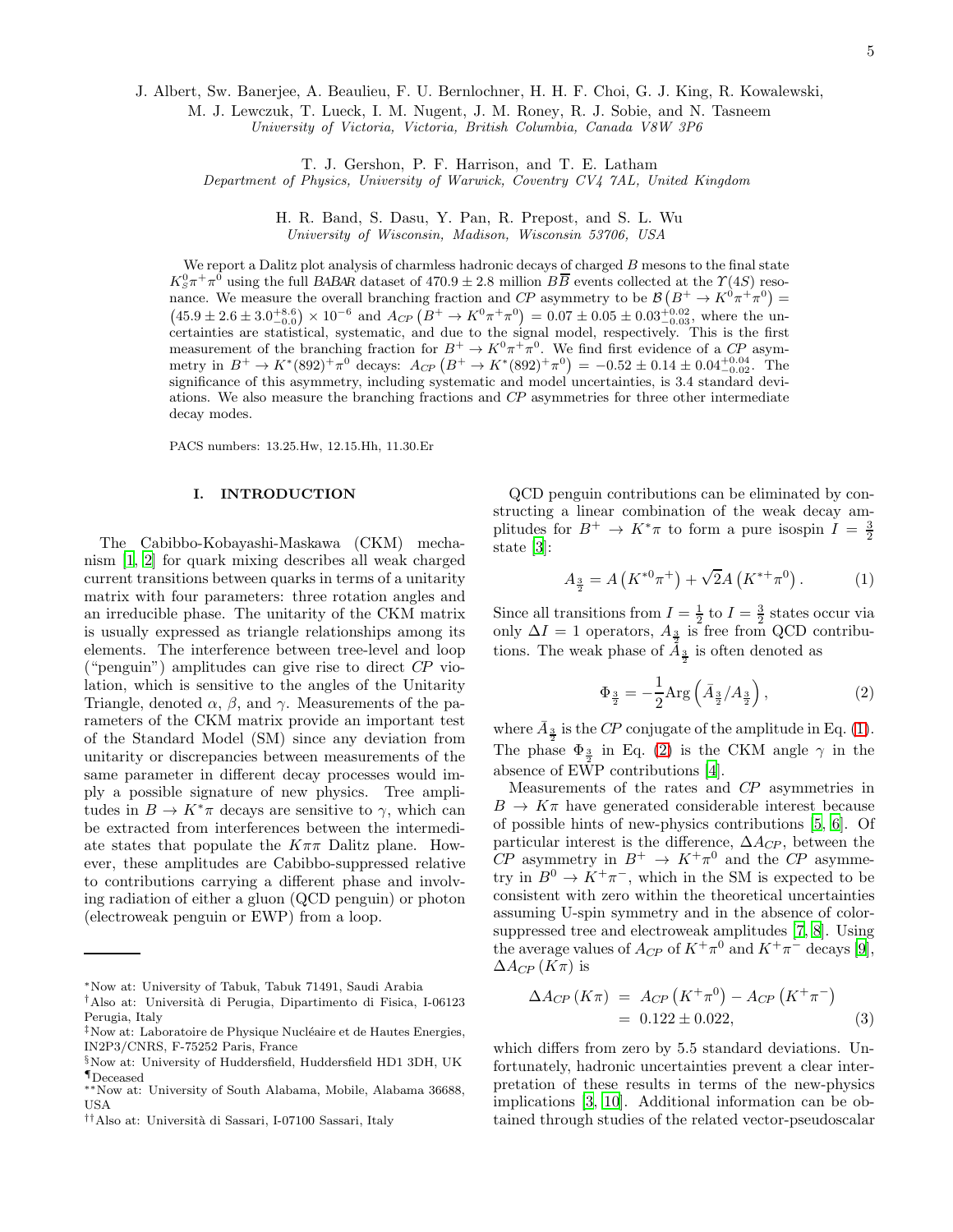J. Albert, Sw. Banerjee, A. Beaulieu, F. U. Bernlochner, H. H. F. Choi, G. J. King, R. Kowalewski,

M. J. Lewczuk, T. Lueck, I. M. Nugent, J. M. Roney, R. J. Sobie, and N. Tasneem

University of Victoria, Victoria, British Columbia, Canada V8W 3P6

T. J. Gershon, P. F. Harrison, and T. E. Latham

Department of Physics, University of Warwick, Coventry CV4 7AL, United Kingdom

H. R. Band, S. Dasu, Y. Pan, R. Prepost, and S. L. Wu University of Wisconsin, Madison, Wisconsin 53706, USA

We report a Dalitz plot analysis of charmless hadronic decays of charged  $B$  mesons to the final state  $K_S^0 \pi^+ \pi^0$  using the full BABAR dataset of 470.9 ± 2.8 million  $B\overline{B}$  events collected at the  $\Upsilon(4S)$  resonance. We measure the overall branching fraction and CP asymmetry to be  $\mathcal{B}(B^+ \to K^0 \pi^+ \pi^0) =$  $(45.9 \pm 2.6 \pm 3.0^{+8.6}_{-0.0}) \times 10^{-6}$  and  $A_{CP} (B^+ \to K^0 \pi^+ \pi^0) = 0.07 \pm 0.05 \pm 0.03^{+0.02}_{-0.03}$ , where the uncertainties are statistical, systematic, and due to the signal model, respectively. This is the first measurement of the branching fraction for  $B^+ \to K^0 \pi^+ \pi^0$ . We find first evidence of a CP asymmetry in  $B^+ \to K^*(892)^+ \pi^0$  decays:  $A_{CP} (B^+ \to K^*(892)^+ \pi^0) = -0.52 \pm 0.14 \pm 0.04^{+0.04}_{-0.02}$ . The significance of this asymmetry, including systematic and model uncertainties, is 3.4 standard deviations. We also measure the branching fractions and CP asymmetries for three other intermediate decay modes.

PACS numbers: 13.25.Hw, 12.15.Hh, 11.30.Er

# I. INTRODUCTION

The Cabibbo-Kobayashi-Maskawa (CKM) mechanism [\[1](#page-16-0), [2\]](#page-16-1) for quark mixing describes all weak charged current transitions between quarks in terms of a unitarity matrix with four parameters: three rotation angles and an irreducible phase. The unitarity of the CKM matrix is usually expressed as triangle relationships among its elements. The interference between tree-level and loop ("penguin") amplitudes can give rise to direct CP violation, which is sensitive to the angles of the Unitarity Triangle, denoted  $\alpha$ ,  $\beta$ , and  $\gamma$ . Measurements of the parameters of the CKM matrix provide an important test of the Standard Model (SM) since any deviation from unitarity or discrepancies between measurements of the same parameter in different decay processes would imply a possible signature of new physics. Tree amplitudes in  $B \to K^*\pi$  decays are sensitive to  $\gamma$ , which can be extracted from interferences between the intermediate states that populate the  $K\pi\pi$  Dalitz plane. However, these amplitudes are Cabibbo-suppressed relative to contributions carrying a different phase and involving radiation of either a gluon (QCD penguin) or photon (electroweak penguin or EWP) from a loop.

QCD penguin contributions can be eliminated by constructing a linear combination of the weak decay amplitudes for  $B^+ \to K^*\pi$  to form a pure isospin  $I = \frac{3}{2}$ state [\[3](#page-16-2)]:

<span id="page-4-7"></span>
$$
A_{\frac{3}{2}} = A\left(K^{*0}\pi^{+}\right) + \sqrt{2}A\left(K^{*+}\pi^{0}\right). \tag{1}
$$

Since all transitions from  $I = \frac{1}{2}$  to  $I = \frac{3}{2}$  states occur via only  $\Delta I = 1$  operators,  $A_{\frac{3}{2}}$  is free from QCD contributions. The weak phase of  $A_{\frac{3}{2}}$  is often denoted as

<span id="page-4-8"></span>
$$
\Phi_{\frac{3}{2}} = -\frac{1}{2} \text{Arg}\left(\bar{A}_{\frac{3}{2}} / A_{\frac{3}{2}}\right),\tag{2}
$$

where  $\bar{A}_{\frac{3}{2}}$  is the CP conjugate of the amplitude in Eq. [\(1\)](#page-4-7). The phase  $\Phi_{\frac{3}{2}}$  in Eq. [\(2\)](#page-4-8) is the CKM angle  $\gamma$  in the absence of EWP contributions [\[4\]](#page-16-3).

Measurements of the rates and CP asymmetries in  $B \to K\pi$  have generated considerable interest because of possible hints of new-physics contributions [\[5](#page-16-4), [6\]](#page-16-5). Of particular interest is the difference,  $\Delta A_{CP}$ , between the CP asymmetry in  $B^+ \to K^+\pi^0$  and the CP asymmetry in  $B^0 \to K^+\pi^-$ , which in the SM is expected to be consistent with zero within the theoretical uncertainties assuming U-spin symmetry and in the absence of colorsuppressed tree and electroweak amplitudes [\[7,](#page-16-6) [8\]](#page-16-7). Using the average values of  $A_{CP}$  of  $K^+\pi^0$  and  $K^+\pi^-$  decays [\[9\]](#page-16-8),  $\Delta A_{CP}$  (K $\pi$ ) is

<span id="page-4-9"></span>
$$
\Delta A_{CP} (K\pi) = A_{CP} (K^+\pi^0) - A_{CP} (K^+\pi^-) = 0.122 \pm 0.022, \tag{3}
$$

which differs from zero by 5.5 standard deviations. Unfortunately, hadronic uncertainties prevent a clear interpretation of these results in terms of the new-physics implications [\[3](#page-16-2), [10](#page-16-9)]. Additional information can be obtained through studies of the related vector-pseudoscalar

<span id="page-4-0"></span><sup>∗</sup>Now at: University of Tabuk, Tabuk 71491, Saudi Arabia

<span id="page-4-1"></span><sup>†</sup>Also at: Universit`a di Perugia, Dipartimento di Fisica, I-06123 Perugia, Italy

<span id="page-4-2"></span> $\frac{1}{4}$ Now at: Laboratoire de Physique Nucléaire et de Hautes Energies, IN2P3/CNRS, F-75252 Paris, France

<span id="page-4-3"></span><sup>§</sup>Now at: University of Huddersfield, Huddersfield HD1 3DH, UK ¶Deceased

<span id="page-4-5"></span><span id="page-4-4"></span><sup>∗∗</sup>Now at: University of South Alabama, Mobile, Alabama 36688, USA

<span id="page-4-6"></span><sup>††</sup>Also at: Universit`a di Sassari, I-07100 Sassari, Italy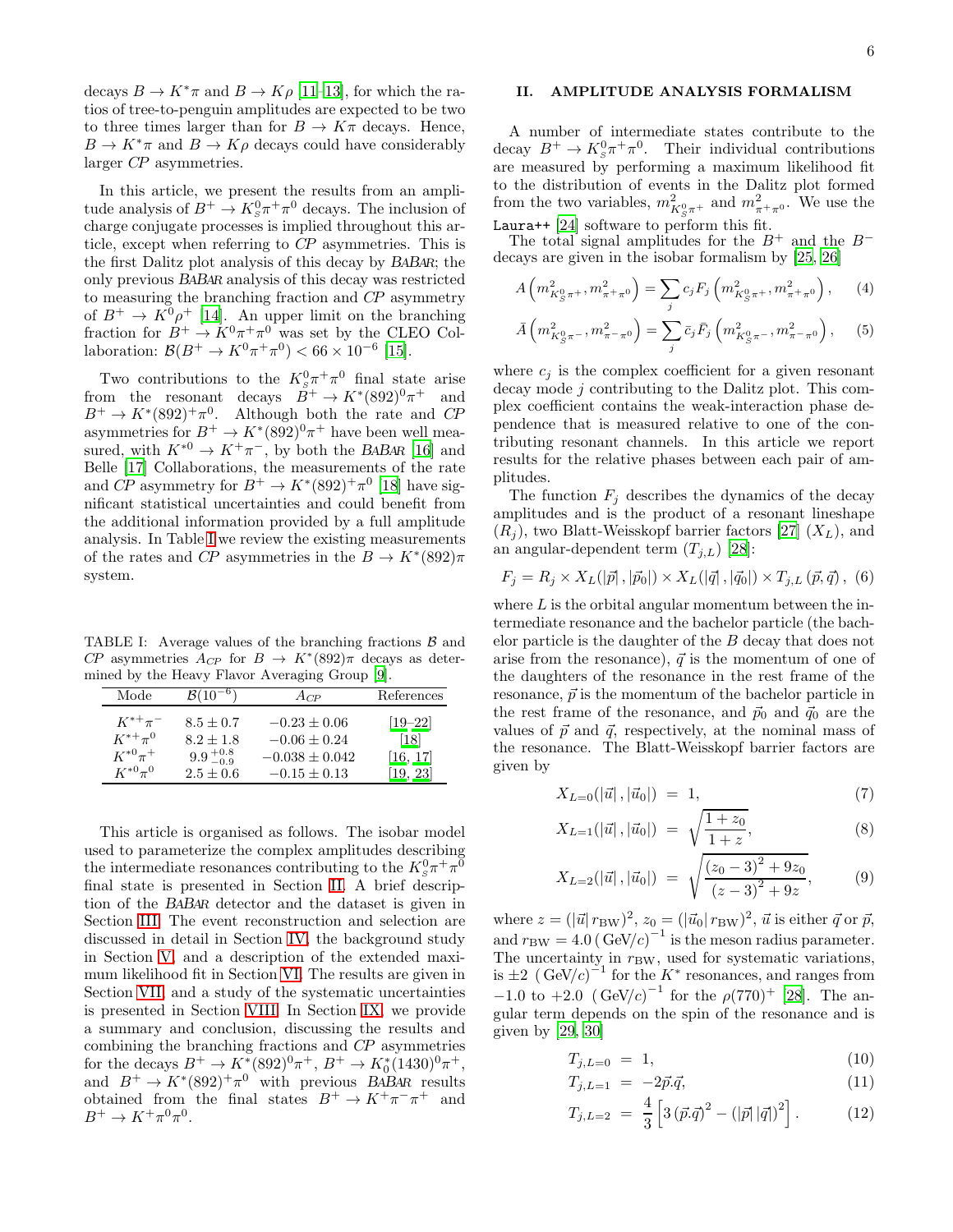decays  $B \to K^*\pi$  and  $B \to K\rho$  [\[11](#page-16-10)[–13\]](#page-16-11), for which the ratios of tree-to-penguin amplitudes are expected to be two to three times larger than for  $B \to K\pi$  decays. Hence,  $B \to K^*\pi$  and  $B \to K\rho$  decays could have considerably larger CP asymmetries.

In this article, we present the results from an amplitude analysis of  $B^+ \to K^0_s \pi^+ \pi^0$  decays. The inclusion of charge conjugate processes is implied throughout this article, except when referring to CP asymmetries. This is the first Dalitz plot analysis of this decay by BABAR; the only previous BABAR analysis of this decay was restricted to measuring the branching fraction and CP asymmetry of  $B^+ \to K^0 \rho^+$  [\[14\]](#page-16-12). An upper limit on the branching fraction for  $B^+ \to K^0 \pi^+ \pi^0$  was set by the CLEO Collaboration:  $\mathcal{B}(B^+ \to K^0 \pi^+ \pi^0) < 66 \times 10^{-6}$  [\[15\]](#page-16-13).

Two contributions to the  $K_s^0 \pi^+ \pi^0$  final state arise from the resonant decays  $B^+ \to K^*(892)^0 \pi$ and  $B^+ \to K^*(892)^+ \pi^0$ . Although both the rate and CP asymmetries for  $B^+ \to K^*(892)^0 \pi^+$  have been well measured, with  $K^{*0} \to K^+\pi^-$ , by both the BABAR [\[16\]](#page-16-14) and Belle [\[17](#page-16-15)] Collaborations, the measurements of the rate and CP asymmetry for  $B^+ \to K^*(892)^+ \pi^0$  [\[18\]](#page-16-16) have significant statistical uncertainties and could benefit from the additional information provided by a full amplitude analysis. In Table [I](#page-5-0) we review the existing measurements of the rates and  $C\!P$  asymmetries in the  $B \to K^*(892)\pi$ system.

TABLE I: Average values of the branching fractions  $\beta$  and CP asymmetries  $A_{CP}$  for  $B \to K^*(892)\pi$  decays as determined by the Heavy Flavor Averaging Group [\[9\]](#page-16-8).

<span id="page-5-0"></span>

| Mode          | $B(10^{-6})$        | $A_{CP}$           | References        |
|---------------|---------------------|--------------------|-------------------|
| $K^{*+}\pi^-$ | $8.5 \pm 0.7$       | $-0.23 \pm 0.06$   | $[19 - 22]$       |
| $K^{*+}\pi^0$ | $8.2 + 1.8$         | $-0.06 \pm 0.24$   | $\left[18\right]$ |
| $K^{*0}\pi^+$ | $9.9_{-0.9}^{+0.8}$ | $-0.038 \pm 0.042$ | [16, 17]          |
| $K^{*0}\pi^0$ | $2.5 \pm 0.6$       | $-0.15 \pm 0.13$   | [19, 23]          |

This article is organised as follows. The isobar model used to parameterize the complex amplitudes describing the intermediate resonances contributing to the  $K_S^0 \pi^+ \pi^0$ final state is presented in Section [II.](#page-5-1) A brief description of the BABAR detector and the dataset is given in Section [III.](#page-7-0) The event reconstruction and selection are discussed in detail in Section [IV,](#page-7-1) the background study in Section [V,](#page-8-0) and a description of the extended maximum likelihood fit in Section [VI.](#page-9-0) The results are given in Section [VII,](#page-10-0) and a study of the systematic uncertainties is presented in Section [VIII.](#page-14-0) In Section [IX,](#page-15-0) we provide a summary and conclusion, discussing the results and combining the branching fractions and CP asymmetries for the decays  $B^+ \to K^*(892)^0 \pi^+, B^+ \to K_0^*(1430)^0 \pi^+,$ and  $B^+ \to K^*(892)^+ \pi^0$  with previous BABAR results obtained from the final states  $B^+ \to K^+\pi^-\pi^+$  and  $B^+ \to K^+ \pi^0 \pi^0$ .

# <span id="page-5-1"></span>II. AMPLITUDE ANALYSIS FORMALISM

A number of intermediate states contribute to the decay  $B^+ \to K^0_S \pi^+ \pi^0$ . Their individual contributions are measured by performing a maximum likelihood fit to the distribution of events in the Dalitz plot formed from the two variables,  $m_{K^0_S \pi^+}^2$  and  $m_{\pi^+\pi^0}^2$ . We use the Laura++ [\[24\]](#page-17-3) software to perform this fit.

The total signal amplitudes for the  $B^+$  and the  $B^$ decays are given in the isobar formalism by [\[25](#page-17-4), [26](#page-17-5)]

<span id="page-5-2"></span>
$$
A\left(m_{K_S^0\pi^+}^2, m_{\pi^+\pi^0}^2\right) = \sum_j c_j F_j\left(m_{K_S^0\pi^+}^2, m_{\pi^+\pi^0}^2\right),\qquad(4)
$$

$$
\bar{A}\left(m_{K_S^0 \pi^-}^2, m_{\pi^- \pi^0}^2\right) = \sum_j \bar{c}_j \bar{F}_j \left(m_{K_S^0 \pi^-}^2, m_{\pi^- \pi^0}^2\right),\tag{5}
$$

where  $c_j$  is the complex coefficient for a given resonant decay mode j contributing to the Dalitz plot. This complex coefficient contains the weak-interaction phase dependence that is measured relative to one of the contributing resonant channels. In this article we report results for the relative phases between each pair of amplitudes.

The function  $F_j$  describes the dynamics of the decay amplitudes and is the product of a resonant lineshape  $(R_i)$ , two Blatt-Weisskopf barrier factors [\[27\]](#page-17-6)  $(X_L)$ , and an angular-dependent term  $(T_{j,L})$  [\[28](#page-17-7)]:

$$
F_j = R_j \times X_L(|\vec{p}|, |\vec{p}_0|) \times X_L(|\vec{q}|, |\vec{q}_0|) \times T_{j,L}(\vec{p}, \vec{q}), (6)
$$

where  $L$  is the orbital angular momentum between the intermediate resonance and the bachelor particle (the bachelor particle is the daughter of the B decay that does not arise from the resonance),  $\vec{q}$  is the momentum of one of the daughters of the resonance in the rest frame of the resonance,  $\vec{p}$  is the momentum of the bachelor particle in the rest frame of the resonance, and  $\vec{p}_0$  and  $\vec{q}_0$  are the values of  $\vec{p}$  and  $\vec{q}$ , respectively, at the nominal mass of the resonance. The Blatt-Weisskopf barrier factors are given by

$$
X_{L=0}(|\vec{u}|, |\vec{u}_0|) = 1, \tag{7}
$$

$$
X_{L=1}(|\vec{u}|, |\vec{u}_0|) = \sqrt{\frac{1+z_0}{1+z}}, \tag{8}
$$

$$
X_{L=2}(|\vec{u}|, |\vec{u}_0|) = \sqrt{\frac{(z_0 - 3)^2 + 9z_0}{(z - 3)^2 + 9z}},
$$
(9)

where  $z = (|\vec{u}| r_{BW})^2$ ,  $z_0 = (|\vec{u}_0| r_{BW})^2$ ,  $\vec{u}$  is either  $\vec{q}$  or  $\vec{p}$ , and  $r_{BW} = 4.0 \left( \frac{GeV}{c} \right)^{-1}$  is the meson radius parameter. The uncertainty in  $r_{BW}$ , used for systematic variations, is  $\pm 2$  (GeV/c)<sup>-1</sup> for the K<sup>\*</sup> resonances, and ranges from −1.0 to +2.0  $({\text{GeV}}/c)^{-1}$  for the  $\rho(770)^{+}$  [\[28\]](#page-17-7). The angular term depends on the spin of the resonance and is given by [\[29,](#page-17-8) [30\]](#page-17-9)

$$
T_{j,L=0} = 1, \t\t(10)
$$

$$
T_{j,L=1} = -2\vec{p}.\vec{q}, \qquad (11)
$$

$$
T_{j,L=2} = \frac{4}{3} \left[ 3 \left( \vec{p} \cdot \vec{q} \right)^2 - \left( |\vec{p}| \left| \vec{q} \right| \right)^2 \right]. \tag{12}
$$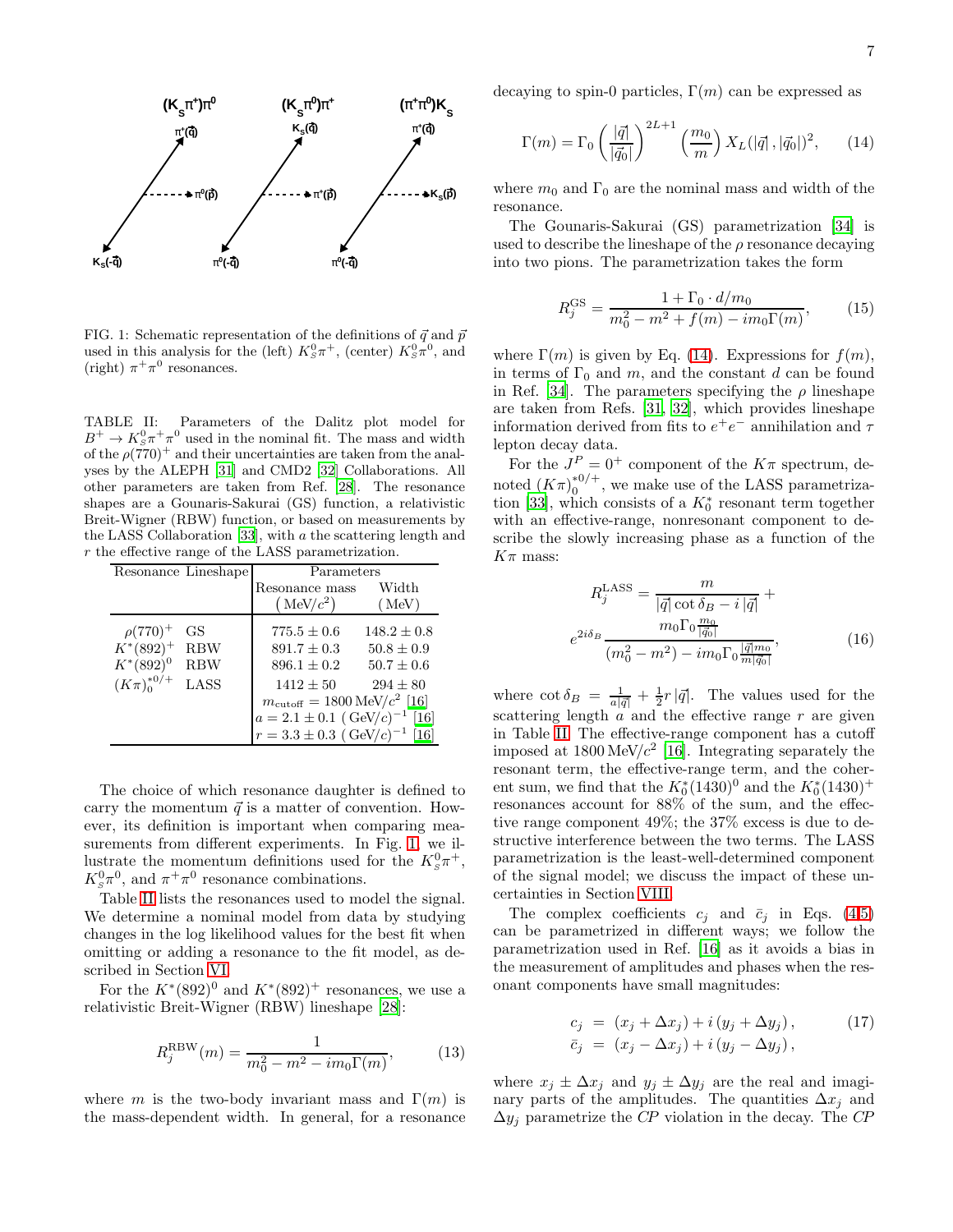

<span id="page-6-0"></span>FIG. 1: Schematic representation of the definitions of  $\vec{q}$  and  $\vec{p}$ used in this analysis for the (left)  $K_S^0 \pi^+$ , (center)  $K_S^0 \pi^0$ , and (right)  $\pi^+\pi^0$  resonances.

<span id="page-6-1"></span>TABLE II: Parameters of the Dalitz plot model for  $B^+ \to K_S^0 \pi^+ \pi^0$  used in the nominal fit. The mass and width of the  $\rho(770)^+$  and their uncertainties are taken from the analyses by the ALEPH [\[31\]](#page-17-10) and CMD2 [\[32](#page-17-11)] Collaborations. All other parameters are taken from Ref. [\[28\]](#page-17-7). The resonance shapes are a Gounaris-Sakurai (GS) function, a relativistic Breit-Wigner (RBW) function, or based on measurements by the LASS Collaboration [\[33\]](#page-17-12), with a the scattering length and r the effective range of the LASS parametrization.

|                     | Resonance Lineshape | Parameters                                       |                 |
|---------------------|---------------------|--------------------------------------------------|-----------------|
|                     |                     | Resonance mass                                   | Width           |
|                     |                     | (MeV/c <sup>2</sup> )                            | (MeV)           |
| $\rho(770)^{+}$     | GS                  | $775.5 \pm 0.6$                                  | $148.2 \pm 0.8$ |
| $K^*(892)^+$        | <b>RBW</b>          | $891.7 \pm 0.3$                                  | $50.8 + 0.9$    |
| $K^*(892)^0$        | <b>RBW</b>          | $896.1 \pm 0.2$                                  | $50.7 \pm 0.6$  |
| $(K\pi)^{*0/+}_{0}$ | LASS                | $1412 + 50$                                      | $294 \pm 80$    |
|                     |                     | $m_{\text{cutoff}} = 1800 \,\text{MeV}/c^2$ [16] |                 |
|                     |                     | $a = 2.1 \pm 0.1 \, (\text{GeV}/c)^{-1} \, [16]$ |                 |
|                     |                     | $r = 3.3 \pm 0.3 \; (\text{GeV}/c)^{-1} \; [16]$ |                 |

The choice of which resonance daughter is defined to carry the momentum  $\vec{q}$  is a matter of convention. However, its definition is important when comparing measurements from different experiments. In Fig. [1,](#page-6-0) we illustrate the momentum definitions used for the  $K_s^0 \pi^+$ ,  $K_s^0 \pi^0$ , and  $\pi^+ \pi^0$  resonance combinations.

Table [II](#page-6-1) lists the resonances used to model the signal. We determine a nominal model from data by studying changes in the log likelihood values for the best fit when omitting or adding a resonance to the fit model, as described in Section [VI.](#page-9-0)

For the  $K^*(892)^0$  and  $K^*(892)^+$  resonances, we use a relativistic Breit-Wigner (RBW) lineshape [\[28\]](#page-17-7):

$$
R_j^{\text{RBW}}(m) = \frac{1}{m_0^2 - m^2 - im_0 \Gamma(m)},
$$
 (13)

where m is the two-body invariant mass and  $\Gamma(m)$  is the mass-dependent width. In general, for a resonance decaying to spin-0 particles,  $\Gamma(m)$  can be expressed as

<span id="page-6-2"></span>
$$
\Gamma(m) = \Gamma_0 \left(\frac{|\vec{q}|}{|\vec{q}_0|}\right)^{2L+1} \left(\frac{m_0}{m}\right) X_L(|\vec{q}|, |\vec{q}_0|)^2, \qquad (14)
$$

where  $m_0$  and  $\Gamma_0$  are the nominal mass and width of the resonance.

The Gounaris-Sakurai (GS) parametrization [\[34\]](#page-17-13) is used to describe the lineshape of the  $\rho$  resonance decaying into two pions. The parametrization takes the form

$$
R_j^{\rm GS} = \frac{1 + \Gamma_0 \cdot d/m_0}{m_0^2 - m^2 + f(m) - im_0 \Gamma(m)},\tag{15}
$$

where  $\Gamma(m)$  is given by Eq. [\(14\)](#page-6-2). Expressions for  $f(m)$ , in terms of  $\Gamma_0$  and m, and the constant d can be found in Ref. [\[34](#page-17-13)]. The parameters specifying the  $\rho$  lineshape are taken from Refs. [\[31,](#page-17-10) [32](#page-17-11)], which provides lineshape information derived from fits to  $e^+e^-$  annihilation and  $\tau$ lepton decay data.

For the  $J^P = 0^+$  component of the  $K\pi$  spectrum, denoted  $(K\pi)_0^{*0/+}$  $_{0}^{*0/+}$ , we make use of the LASS parametriza-tion [\[33](#page-17-12)], which consists of a  $K_0^*$  resonant term together with an effective-range, nonresonant component to describe the slowly increasing phase as a function of the  $K\pi$  mass:

$$
R_j^{\text{LASS}} = \frac{m}{|\vec{q}| \cot \delta_B - i |\vec{q}|} +
$$
  

$$
e^{2i\delta_B} \frac{m_0 \Gamma_0 \frac{m_0}{|\vec{q}_0|}}{(m_0^2 - m^2) - im_0 \Gamma_0 \frac{|\vec{q}| m_0}{m |\vec{q}_0|}},
$$
 (16)

where  $\cot \delta_B = \frac{1}{a|\vec{q}|} + \frac{1}{2}r|\vec{q}|$ . The values used for the scattering length  $a$  and the effective range r are given in Table [II.](#page-6-1) The effective-range component has a cutoff imposed at  $1800 \,\text{MeV}/c^2$  [\[16\]](#page-16-14). Integrating separately the resonant term, the effective-range term, and the coherent sum, we find that the  $K_0^*(1430)^0$  and the  $K_0^*(1430)^+$ resonances account for 88% of the sum, and the effective range component 49%; the 37% excess is due to destructive interference between the two terms. The LASS parametrization is the least-well-determined component of the signal model; we discuss the impact of these uncertainties in Section [VIII.](#page-14-0)

The complex coefficients  $c_i$  and  $\bar{c}_i$  in Eqs. [\(4,5\)](#page-5-2) can be parametrized in different ways; we follow the parametrization used in Ref. [\[16](#page-16-14)] as it avoids a bias in the measurement of amplitudes and phases when the resonant components have small magnitudes:

<span id="page-6-3"></span>
$$
c_j = (x_j + \Delta x_j) + i (y_j + \Delta y_j),
$$
  
\n
$$
\bar{c}_j = (x_j - \Delta x_j) + i (y_j - \Delta y_j),
$$
\n(17)

where  $x_j \pm \Delta x_j$  and  $y_j \pm \Delta y_j$  are the real and imaginary parts of the amplitudes. The quantities  $\Delta x_j$  and  $\Delta y_j$  parametrize the CP violation in the decay. The CP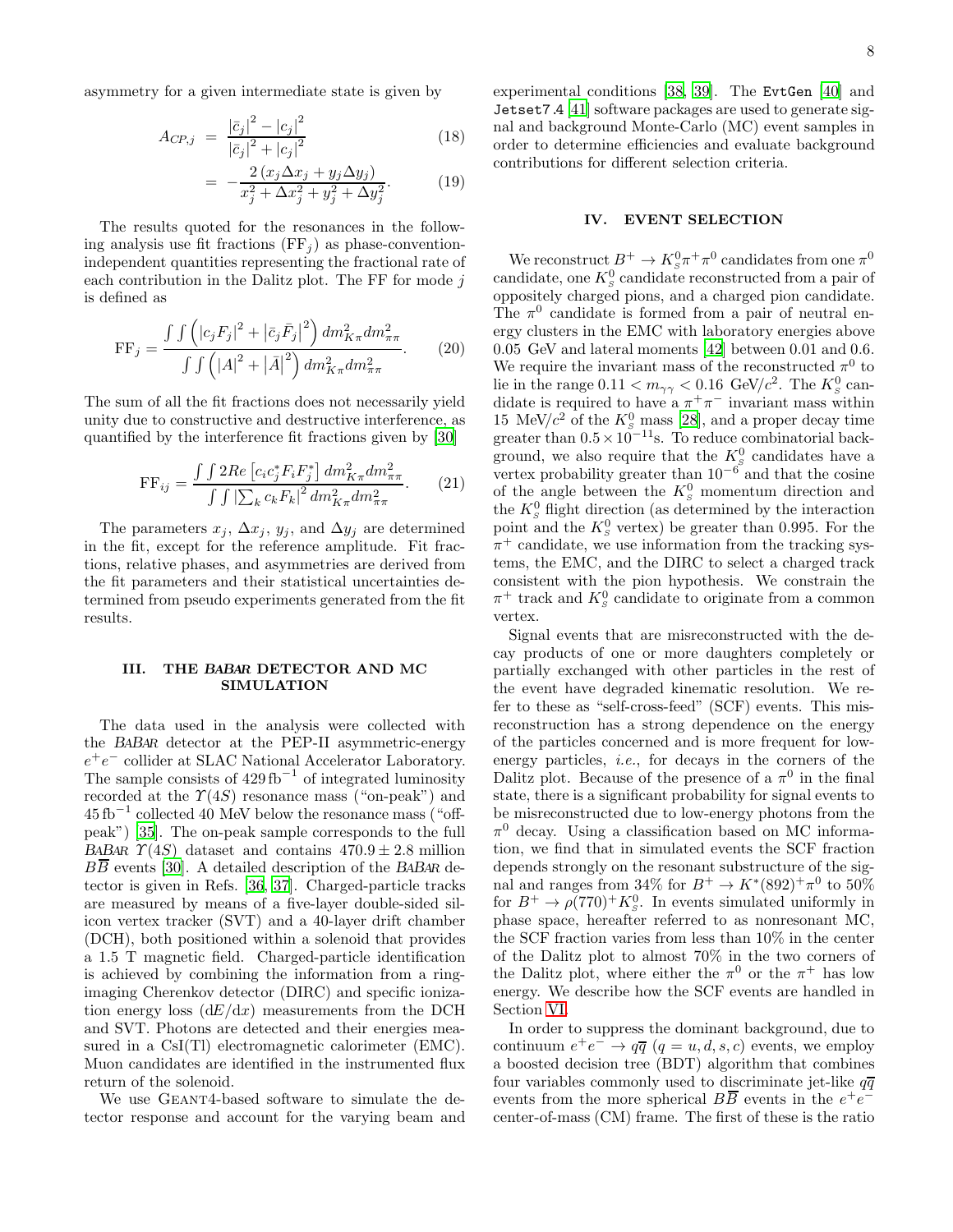asymmetry for a given intermediate state is given by

<span id="page-7-2"></span>
$$
A_{CP,j} = \frac{|\bar{c}_j|^2 - |c_j|^2}{|\bar{c}_j|^2 + |c_j|^2}
$$
 (18)

$$
= -\frac{2(x_j \Delta x_j + y_j \Delta y_j)}{x_j^2 + \Delta x_j^2 + y_j^2 + \Delta y_j^2}.
$$
 (19)

The results quoted for the resonances in the following analysis use fit fractions  $(FF_i)$  as phase-conventionindependent quantities representing the fractional rate of each contribution in the Dalitz plot. The FF for mode  $i$ is defined as

$$
\text{FF}_{j} = \frac{\int \int \left( |c_{j}F_{j}|^{2} + |\bar{c}_{j}\bar{F}_{j}|^{2} \right) dm_{K\pi}^{2} dm_{\pi\pi}^{2}}{\int \int \left( |A|^{2} + |\bar{A}|^{2} \right) dm_{K\pi}^{2} dm_{\pi\pi}^{2}}.
$$
 (20)

The sum of all the fit fractions does not necessarily yield unity due to constructive and destructive interference, as quantified by the interference fit fractions given by [\[30](#page-17-9)]

$$
FF_{ij} = \frac{\int \int 2Re\left[c_{i}c_{j}^{*}F_{i}F_{j}^{*}\right] dm_{K\pi}^{2} dm_{\pi\pi}^{2}}{\int \int \left|\sum_{k} c_{k}F_{k}\right|^{2} dm_{K\pi}^{2} dm_{\pi\pi}^{2}}.
$$
 (21)

The parameters  $x_j$ ,  $\Delta x_j$ ,  $y_j$ , and  $\Delta y_j$  are determined in the fit, except for the reference amplitude. Fit fractions, relative phases, and asymmetries are derived from the fit parameters and their statistical uncertainties determined from pseudo experiments generated from the fit results.

### <span id="page-7-0"></span>III. THE BABAR DETECTOR AND MC SIMULATION

The data used in the analysis were collected with the BABAR detector at the PEP-II asymmetric-energy  $e^+e^-$  collider at SLAC National Accelerator Laboratory. The sample consists of  $429 \text{ fb}^{-1}$  of integrated luminosity recorded at the  $\Upsilon(4S)$  resonance mass ("on-peak") and 45 fb<sup>−</sup><sup>1</sup> collected 40 MeV below the resonance mass ("offpeak") [\[35](#page-17-14)]. The on-peak sample corresponds to the full BABAR  $\Upsilon(4S)$  dataset and contains  $470.9 \pm 2.8$  million  $B\overline{B}$  events [\[30](#page-17-9)]. A detailed description of the BABAR detector is given in Refs. [\[36,](#page-17-15) [37\]](#page-17-16). Charged-particle tracks are measured by means of a five-layer double-sided silicon vertex tracker (SVT) and a 40-layer drift chamber (DCH), both positioned within a solenoid that provides a 1.5 T magnetic field. Charged-particle identification is achieved by combining the information from a ringimaging Cherenkov detector (DIRC) and specific ionization energy loss  $(dE/dx)$  measurements from the DCH and SVT. Photons are detected and their energies measured in a CsI(Tl) electromagnetic calorimeter (EMC). Muon candidates are identified in the instrumented flux return of the solenoid.

We use GEANT4-based software to simulate the detector response and account for the varying beam and experimental conditions [\[38,](#page-17-17) [39\]](#page-17-18). The EvtGen [\[40\]](#page-17-19) and Jetset7.4 [\[41\]](#page-17-20) software packages are used to generate signal and background Monte-Carlo (MC) event samples in order to determine efficiencies and evaluate background contributions for different selection criteria.

# <span id="page-7-1"></span>IV. EVENT SELECTION

We reconstruct  $B^+ \to K_s^0 \pi^+ \pi^0$  candidates from one  $\pi^0$ candidate, one  $K_S^0$  candidate reconstructed from a pair of oppositely charged pions, and a charged pion candidate. The  $\pi^0$  candidate is formed from a pair of neutral energy clusters in the EMC with laboratory energies above 0.05 GeV and lateral moments [\[42](#page-17-21)] between 0.01 and 0.6. We require the invariant mass of the reconstructed  $\pi^0$  to lie in the range  $0.11 < m_{\gamma\gamma} < 0.16$  GeV/ $c^2$ . The  $K_s^0$  candidate is required to have a  $\pi^+\pi^-$  invariant mass within 15 MeV/ $c^2$  of the  $K_s^0$  mass [\[28](#page-17-7)], and a proper decay time greater than  $0.5 \times 10^{-11}$ s. To reduce combinatorial background, we also require that the  $K_S^0$  candidates have a vertex probability greater than  $10^{-6}$  and that the cosine of the angle between the  $K_S^0$  momentum direction and the  $K_S^0$  flight direction (as determined by the interaction point and the  $K_S^0$  vertex) be greater than 0.995. For the  $\pi^+$  candidate, we use information from the tracking systems, the EMC, and the DIRC to select a charged track consistent with the pion hypothesis. We constrain the  $\pi^+$  track and  $K^0_s$  candidate to originate from a common vertex.

Signal events that are misreconstructed with the decay products of one or more daughters completely or partially exchanged with other particles in the rest of the event have degraded kinematic resolution. We refer to these as "self-cross-feed" (SCF) events. This misreconstruction has a strong dependence on the energy of the particles concerned and is more frequent for lowenergy particles, i.e., for decays in the corners of the Dalitz plot. Because of the presence of a  $\pi^0$  in the final state, there is a significant probability for signal events to be misreconstructed due to low-energy photons from the  $\pi^0$  decay. Using a classification based on MC information, we find that in simulated events the SCF fraction depends strongly on the resonant substructure of the signal and ranges from  $34\%$  for  $B^+ \to K^*(892)^+ \pi^0$  to  $50\%$ for  $B^+ \to \rho (770)^+ K^0_s$ . In events simulated uniformly in phase space, hereafter referred to as nonresonant MC, the SCF fraction varies from less than 10% in the center of the Dalitz plot to almost 70% in the two corners of the Dalitz plot, where either the  $\pi^0$  or the  $\pi^+$  has low energy. We describe how the SCF events are handled in Section [VI.](#page-9-0)

In order to suppress the dominant background, due to continuum  $e^+e^- \to q\overline{q}$   $(q=u,d,s,c)$  events, we employ a boosted decision tree (BDT) algorithm that combines four variables commonly used to discriminate jet-like  $q\bar{q}$ events from the more spherical  $B\overline{B}$  events in the  $e^+e^$ center-of-mass (CM) frame. The first of these is the ratio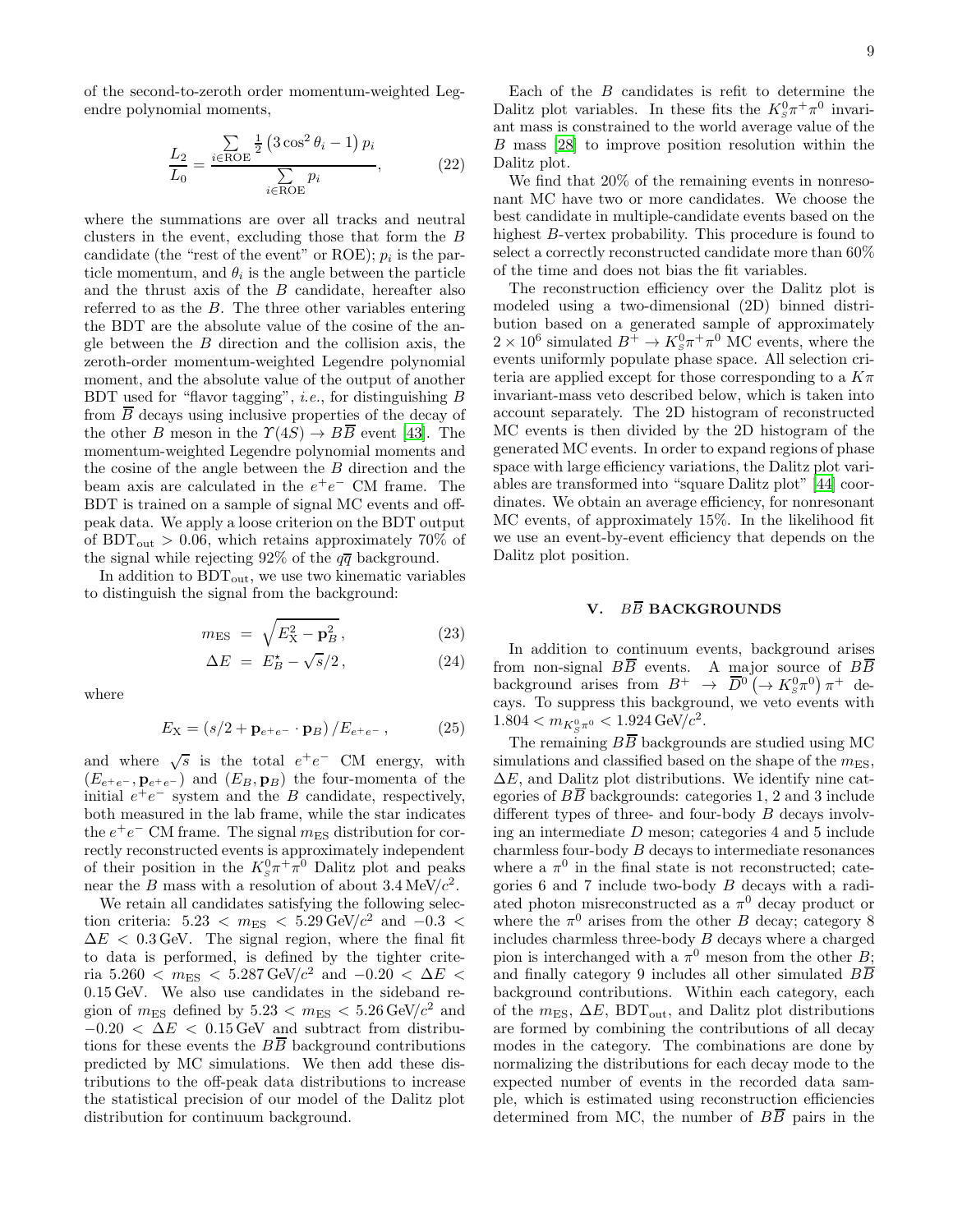of the second-to-zeroth order momentum-weighted Legendre polynomial moments,

$$
\frac{L_2}{L_0} = \frac{\sum\limits_{i \in \text{ROE}} \frac{1}{2} \left( 3 \cos^2 \theta_i - 1 \right) p_i}{\sum\limits_{i \in \text{ROE}} p_i},\tag{22}
$$

where the summations are over all tracks and neutral clusters in the event, excluding those that form the B candidate (the "rest of the event" or ROE);  $p_i$  is the particle momentum, and  $\theta_i$  is the angle between the particle and the thrust axis of the B candidate, hereafter also referred to as the B. The three other variables entering the BDT are the absolute value of the cosine of the angle between the B direction and the collision axis, the zeroth-order momentum-weighted Legendre polynomial moment, and the absolute value of the output of another BDT used for "flavor tagging", i.e., for distinguishing B from  $\overline{B}$  decays using inclusive properties of the decay of the other B meson in the  $\Upsilon(4S) \rightarrow B\overline{B}$  event [\[43](#page-17-22)]. The momentum-weighted Legendre polynomial moments and the cosine of the angle between the B direction and the beam axis are calculated in the  $e^+e^-$  CM frame. The BDT is trained on a sample of signal MC events and offpeak data. We apply a loose criterion on the BDT output of BDT<sub>out</sub>  $> 0.06$ , which retains approximately 70% of the signal while rejecting 92% of the  $q\overline{q}$  background.

In addition to  $BDT_{out}$ , we use two kinematic variables to distinguish the signal from the background:

$$
m_{\rm ES} = \sqrt{E_{\rm X}^2 - \mathbf{p}_B^2},\tag{23}
$$

$$
\Delta E = E_B^* - \sqrt{s}/2, \qquad (24)
$$

where

$$
E_{\rm X} = (s/2 + \mathbf{p}_{e^+e^-} \cdot \mathbf{p}_B) / E_{e^+e^-}, \qquad (25)
$$

and where  $\sqrt{s}$  is the total  $e^+e^-$  CM energy, with  $(E_{e^+e^-}, \mathbf{p}_{e^+e^-})$  and  $(E_B, \mathbf{p}_B)$  the four-momenta of the initial  $e^+e^-$  system and the B candidate, respectively, both measured in the lab frame, while the star indicates the  $e^+e^-$  CM frame. The signal  $m_{\text{ES}}$  distribution for correctly reconstructed events is approximately independent of their position in the  $K_s^0 \pi^+ \pi^0$  Dalitz plot and peaks near the B mass with a resolution of about  $3.4 \text{ MeV}/c^2$ .

We retain all candidates satisfying the following selection criteria:  $5.23 < m_{ES} < 5.29 \text{ GeV}/c^2$  and  $-0.3 <$  $\Delta E$  < 0.3 GeV. The signal region, where the final fit to data is performed, is defined by the tighter criteria 5.260 <  $m_{ES}$  < 5.287 GeV/ $c^2$  and  $-0.20$  <  $\Delta E$  < 0.15 GeV. We also use candidates in the sideband region of  $m_{ES}$  defined by  $5.23 < m_{ES} < 5.26 \text{ GeV}/c^2$  and  $-0.20 < \Delta E < 0.15$  GeV and subtract from distributions for these events the  $B\overline{B}$  background contributions predicted by MC simulations. We then add these distributions to the off-peak data distributions to increase the statistical precision of our model of the Dalitz plot distribution for continuum background.

Each of the  $B$  candidates is refit to determine the Dalitz plot variables. In these fits the  $K_s^0 \pi^+ \pi^0$  invariant mass is constrained to the world average value of the B mass [\[28\]](#page-17-7) to improve position resolution within the Dalitz plot.

We find that 20% of the remaining events in nonresonant MC have two or more candidates. We choose the best candidate in multiple-candidate events based on the highest B-vertex probability. This procedure is found to select a correctly reconstructed candidate more than 60% of the time and does not bias the fit variables.

The reconstruction efficiency over the Dalitz plot is modeled using a two-dimensional (2D) binned distribution based on a generated sample of approximately  $2 \times 10^6$  simulated  $B^+ \to K^0_s \pi^+ \pi^0$  MC events, where the events uniformly populate phase space. All selection criteria are applied except for those corresponding to a  $K\pi$ invariant-mass veto described below, which is taken into account separately. The 2D histogram of reconstructed MC events is then divided by the 2D histogram of the generated MC events. In order to expand regions of phase space with large efficiency variations, the Dalitz plot variables are transformed into "square Dalitz plot" [\[44\]](#page-17-23) coordinates. We obtain an average efficiency, for nonresonant MC events, of approximately 15%. In the likelihood fit we use an event-by-event efficiency that depends on the Dalitz plot position.

# <span id="page-8-0"></span>V. BE BACKGROUNDS

In addition to continuum events, background arises from non-signal  $B\overline{B}$  events. A major source of  $B\overline{B}$ background arises from  $B^+ \to \overline{D}^0 \left(\to K_s^0 \pi^0\right) \pi^+$  decays. To suppress this background, we veto events with  $1.804 < m_{K^0_S \pi^0} < 1.924 \,\text{GeV}/c^2.$ 

The remaining  $B\overline{B}$  backgrounds are studied using MC simulations and classified based on the shape of the  $m_{ES}$ ,  $\Delta E$ , and Dalitz plot distributions. We identify nine categories of  $B\overline{B}$  backgrounds: categories 1, 2 and 3 include different types of three- and four-body B decays involving an intermediate  $D$  meson; categories 4 and 5 include charmless four-body B decays to intermediate resonances where a  $\pi^0$  in the final state is not reconstructed; categories 6 and 7 include two-body B decays with a radiated photon misreconstructed as a  $\pi^0$  decay product or where the  $\pi^0$  arises from the other B decay; category 8 includes charmless three-body B decays where a charged pion is interchanged with a  $\pi^0$  meson from the other B; and finally category 9 includes all other simulated  $B\overline{B}$ background contributions. Within each category, each of the  $m_{ES}$ ,  $\Delta E$ , BDT<sub>out</sub>, and Dalitz plot distributions are formed by combining the contributions of all decay modes in the category. The combinations are done by normalizing the distributions for each decay mode to the expected number of events in the recorded data sample, which is estimated using reconstruction efficiencies determined from MC, the number of  $B\overline{B}$  pairs in the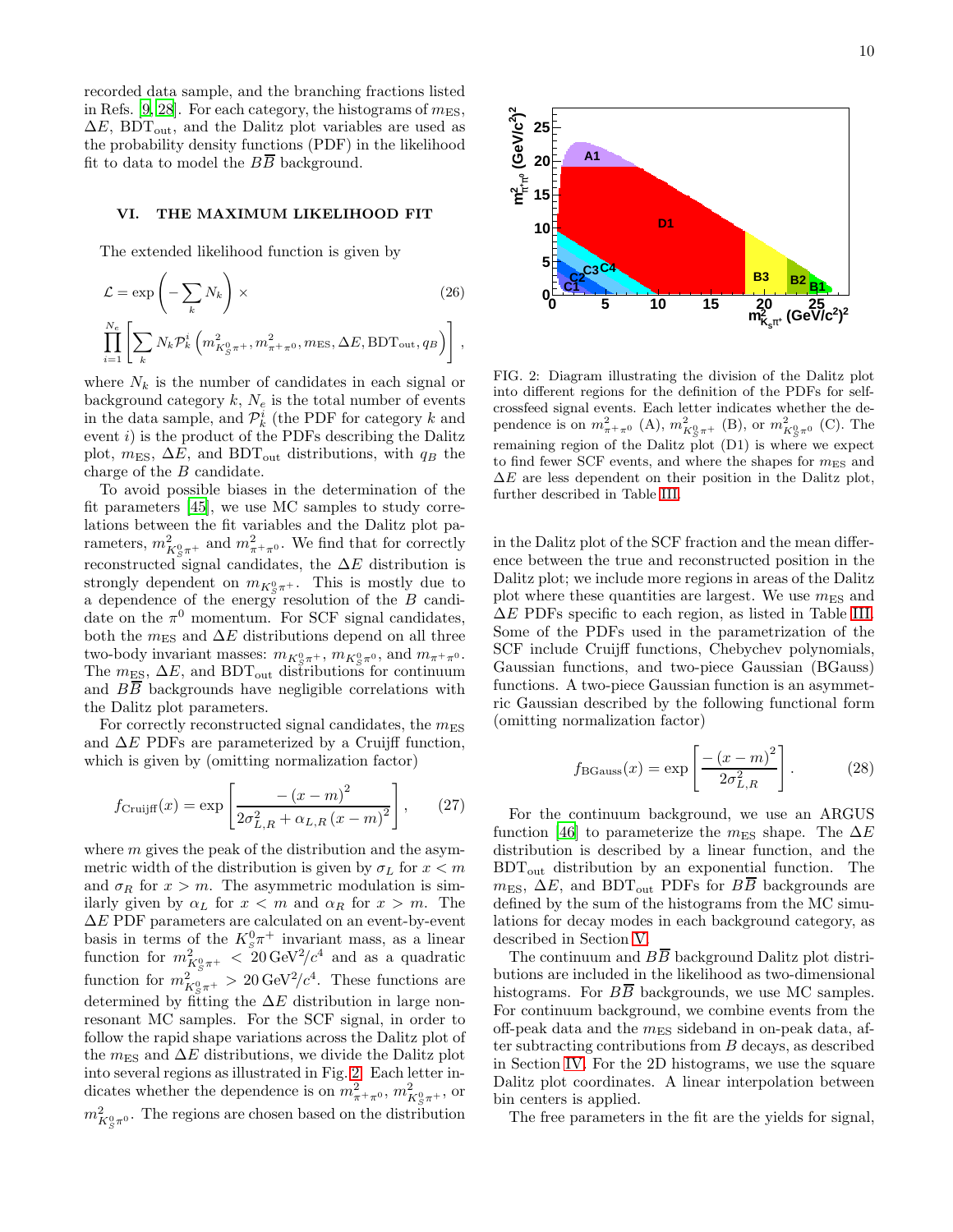recorded data sample, and the branching fractions listed in Refs. [\[9](#page-16-8), [28\]](#page-17-7). For each category, the histograms of  $m_{ES}$ ,  $\Delta E$ , BDT<sub>out</sub>, and the Dalitz plot variables are used as the probability density functions (PDF) in the likelihood fit to data to model the  $B\overline{B}$  background.

#### <span id="page-9-0"></span>VI. THE MAXIMUM LIKELIHOOD FIT

The extended likelihood function is given by

$$
\mathcal{L} = \exp\left(-\sum_{k} N_{k}\right) \times
$$
\n
$$
\prod_{i=1}^{N_{e}} \left[\sum_{k} N_{k} \mathcal{P}_{k}^{i} \left(m_{K_{S}^{0}\pi^{+}}^{2}, m_{\pi^{+}\pi^{0}}^{2}, m_{\text{ES}}, \Delta E, \text{BDT}_{\text{out}}, q_{B}\right)\right],
$$
\n(26)

where  $N_k$  is the number of candidates in each signal or background category  $k, N_e$  is the total number of events in the data sample, and  $\mathcal{P}_k^i$  (the PDF for category k and event  $i$ ) is the product of the PDFs describing the Dalitz plot,  $m_{ES}$ ,  $\Delta E$ , and BDT<sub>out</sub> distributions, with  $q_B$  the charge of the B candidate.

To avoid possible biases in the determination of the fit parameters [\[45](#page-17-24)], we use MC samples to study correlations between the fit variables and the Dalitz plot parameters,  $m_{K^0_S \pi^+}^2$  and  $m_{\pi^+\pi^0}^2$ . We find that for correctly reconstructed signal candidates, the  $\Delta E$  distribution is strongly dependent on  $m_{K^0_S \pi^+}$ . This is mostly due to a dependence of the energy resolution of the  $B$  candidate on the  $\pi^0$  momentum. For SCF signal candidates, both the  $m_{ES}$  and  $\Delta E$  distributions depend on all three two-body invariant masses:  $m_{K^0_S \pi^+}$ ,  $m_{K^0_S \pi^0}$ , and  $m_{\pi^+ \pi^0}$ . The  $m_{ES}$ ,  $\Delta E$ , and BDT<sub>out</sub> distributions for continuum and  $B\overline{B}$  backgrounds have negligible correlations with the Dalitz plot parameters.

For correctly reconstructed signal candidates, the  $m_{\text{ES}}$ and  $\Delta E$  PDFs are parameterized by a Cruijff function, which is given by (omitting normalization factor)

<span id="page-9-2"></span>
$$
f_{\text{Cruijff}}(x) = \exp\left[\frac{-\left(x - m\right)^2}{2\sigma_{L,R}^2 + \alpha_{L,R}\left(x - m\right)^2}\right],\qquad(27)
$$

where  $m$  gives the peak of the distribution and the asymmetric width of the distribution is given by  $\sigma_L$  for  $x < m$ and  $\sigma_R$  for  $x > m$ . The asymmetric modulation is similarly given by  $\alpha_L$  for  $x < m$  and  $\alpha_R$  for  $x > m$ . The  $\Delta E$  PDF parameters are calculated on an event-by-event basis in terms of the  $K_s^0 \pi^+$  invariant mass, as a linear function for  $m_{K^0_S\pi^+}^2 < 20 \,\text{GeV}^2/c^4$  and as a quadratic function for  $m_{K^0_S \pi^+}^2 > 20 \,\text{GeV}^2/c^4$ . These functions are determined by fitting the  $\Delta E$  distribution in large nonresonant MC samples. For the SCF signal, in order to follow the rapid shape variations across the Dalitz plot of the  $m_{\text{ES}}$  and  $\Delta E$  distributions, we divide the Dalitz plot into several regions as illustrated in Fig. [2.](#page-9-1) Each letter indicates whether the dependence is on  $m_{\pi^+\pi^0}^2$ ,  $m_{K^0_S\pi^+}^2$ , or  $m_{K^0_S\pi^0}^2$ . The regions are chosen based on the distribution



<span id="page-9-1"></span>FIG. 2: Diagram illustrating the division of the Dalitz plot into different regions for the definition of the PDFs for selfcrossfeed signal events. Each letter indicates whether the dependence is on  $m_{\pi^+\pi^0}^2$  (A),  $m_{K^0_S\pi^+}^2$  (B), or  $m_{K^0_S\pi^0}^2$  (C). The remaining region of the Dalitz plot (D1) is where we expect to find fewer SCF events, and where the shapes for  $m<sub>ES</sub>$  and  $\Delta E$  are less dependent on their position in the Dalitz plot, further described in Table [III.](#page-10-1)

in the Dalitz plot of the SCF fraction and the mean difference between the true and reconstructed position in the Dalitz plot; we include more regions in areas of the Dalitz plot where these quantities are largest. We use  $m<sub>ES</sub>$  and ∆E PDFs specific to each region, as listed in Table [III.](#page-10-1) Some of the PDFs used in the parametrization of the SCF include Cruijff functions, Chebychev polynomials, Gaussian functions, and two-piece Gaussian (BGauss) functions. A two-piece Gaussian function is an asymmetric Gaussian described by the following functional form (omitting normalization factor)

<span id="page-9-3"></span>
$$
f_{\text{BGauss}}(x) = \exp\left[\frac{-(x-m)^2}{2\sigma_{L,R}^2}\right].\tag{28}
$$

For the continuum background, we use an ARGUS function [\[46\]](#page-17-25) to parameterize the  $m_{ES}$  shape. The  $\Delta E$ distribution is described by a linear function, and the  $BDT_{out}$  distribution by an exponential function. The  $m_{ES}$ ,  $\Delta E$ , and BDT<sub>out</sub> PDFs for  $B\overline{B}$  backgrounds are defined by the sum of the histograms from the MC simulations for decay modes in each background category, as described in Section [V.](#page-8-0)

The continuum and  $B\overline{B}$  background Dalitz plot distributions are included in the likelihood as two-dimensional histograms. For  $B\overline{B}$  backgrounds, we use MC samples. For continuum background, we combine events from the off-peak data and the  $m_{ES}$  sideband in on-peak data, after subtracting contributions from B decays, as described in Section [IV.](#page-7-1) For the 2D histograms, we use the square Dalitz plot coordinates. A linear interpolation between bin centers is applied.

The free parameters in the fit are the yields for signal,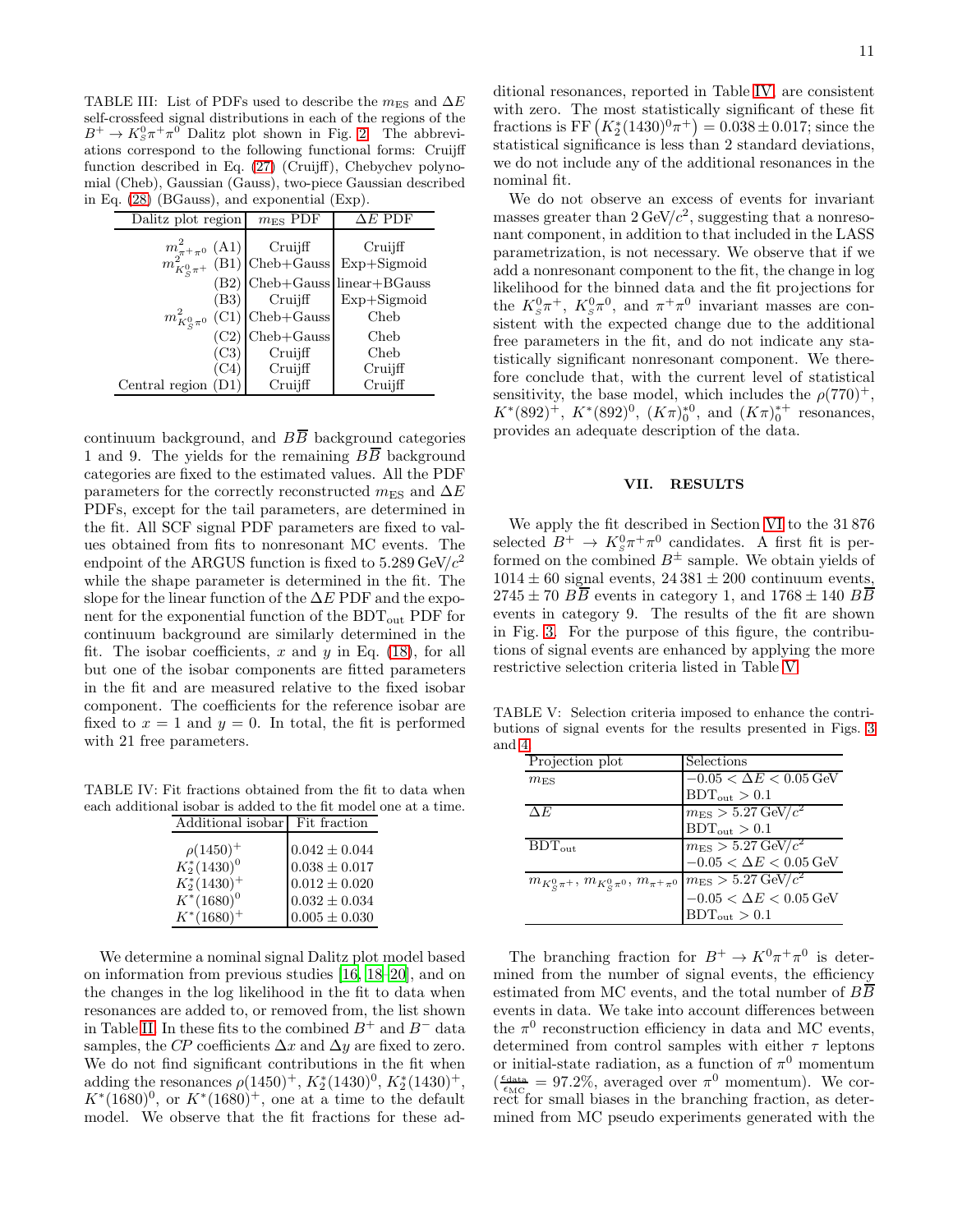<span id="page-10-1"></span>TABLE III: List of PDFs used to describe the  $m_{\text{ES}}$  and  $\Delta E$ self-crossfeed signal distributions in each of the regions of the  $B^+ \to K_S^0 \pi^+ \pi^0$  Dalitz plot shown in Fig. [2.](#page-9-1) The abbreviations correspond to the following functional forms: Cruijff function described in Eq. [\(27\)](#page-9-2) (Cruijff), Chebychev polynomial (Cheb), Gaussian (Gauss), two-piece Gaussian described in Eq. [\(28\)](#page-9-3) (BGauss), and exponential (Exp).

| Dalitz plot region                                         | $m_{ES}$ PDF                                                                                                                                                    | $\Delta E$ PDF                                           |
|------------------------------------------------------------|-----------------------------------------------------------------------------------------------------------------------------------------------------------------|----------------------------------------------------------|
|                                                            | $\begin{array}{c}\nm_{\pi+\pi^0}^2\text{ (A1)}\\ m_{K^0_S\pi^+}^2\text{ (B1)}\n\end{array}\n\begin{array}{c}\n\text{Cruijff} \\ \text{Cheb+Gauss}\n\end{array}$ | Cruifff<br>Exp+Sigmoid                                   |
|                                                            | $(B3)$ Cruijff<br>$m_{K^0_c\pi^0}^2$ (C1) Cheb+Gauss                                                                                                            | $(B2)$ Cheb+Gauss linear+BGauss<br>$Exp+Sigmoid$<br>Cheb |
| (C3)<br>$\left( \text{C4}\right)$<br>Central region $(D1)$ | $(C2)$ Cheb+Gauss<br>Cruijff<br>Cruijff<br>Cruijff                                                                                                              | Cheb<br>Cheb<br>Cruifff<br>Cruifff                       |

continuum background, and  $B\overline{B}$  background categories 1 and 9. The yields for the remaining  $B\overline{B}$  background categories are fixed to the estimated values. All the PDF parameters for the correctly reconstructed m<sub>ES</sub> and  $\Delta E$ PDFs, except for the tail parameters, are determined in the fit. All SCF signal PDF parameters are fixed to values obtained from fits to nonresonant MC events. The endpoint of the ARGUS function is fixed to  $5.289 \,\text{GeV}/c^2$ while the shape parameter is determined in the fit. The slope for the linear function of the  $\Delta E$  PDF and the exponent for the exponential function of the  $BDT_{out}$  PDF for continuum background are similarly determined in the fit. The isobar coefficients, x and y in Eq.  $(18)$ , for all but one of the isobar components are fitted parameters in the fit and are measured relative to the fixed isobar component. The coefficients for the reference isobar are fixed to  $x = 1$  and  $y = 0$ . In total, the fit is performed with 21 free parameters.

TABLE IV: Fit fractions obtained from the fit to data when each additional isobar is added to the fit model one at a time.

<span id="page-10-2"></span>

| Additional isobar | Fit fraction      |
|-------------------|-------------------|
| $\rho(1450)^+$    | $0.042 \pm 0.044$ |
| $K_2^*(1430)^0$   | $0.038 \pm 0.017$ |
| $K_2^*(1430)^+$   | $0.012 \pm 0.020$ |
| $K^*(1680)^0$     | $0.032\pm0.034$   |
| $K^*(1680)^+$     | $0.005 \pm 0.030$ |

We determine a nominal signal Dalitz plot model based on information from previous studies [\[16,](#page-16-14) [18](#page-16-16)[–20\]](#page-17-26), and on the changes in the log likelihood in the fit to data when resonances are added to, or removed from, the list shown in Table [II.](#page-6-1) In these fits to the combined  $B^+$  and  $B^-$  data samples, the CP coefficients  $\Delta x$  and  $\Delta y$  are fixed to zero. We do not find significant contributions in the fit when adding the resonances  $\rho(1450)^+$ ,  $K_2^*(1430)^0$ ,  $K_2^*(1430)^+$ ,  $K^{*}(1680)^{0}$ , or  $K^{*}(1680)^{+}$ , one at a time to the default model. We observe that the fit fractions for these additional resonances, reported in Table [IV,](#page-10-2) are consistent with zero. The most statistically significant of these fit fractions is FF  $(K_2^*(1430)^0 \pi^+) = 0.038 \pm 0.017$ ; since the statistical significance is less than 2 standard deviations, we do not include any of the additional resonances in the nominal fit.

We do not observe an excess of events for invariant masses greater than  $2 \text{ GeV}/c^2$ , suggesting that a nonresonant component, in addition to that included in the LASS parametrization, is not necessary. We observe that if we add a nonresonant component to the fit, the change in log likelihood for the binned data and the fit projections for the  $K_s^0 \pi^+$ ,  $K_s^0 \pi^0$ , and  $\pi^+ \pi^0$  invariant masses are consistent with the expected change due to the additional free parameters in the fit, and do not indicate any statistically significant nonresonant component. We therefore conclude that, with the current level of statistical sensitivity, the base model, which includes the  $\rho(770)^+$ ,  $K^*(892)^+$ ,  $K^*(892)^0$ ,  $(K\pi)_0^{*0}$ , and  $(K\pi)_0^{*+}$  resonances, provides an adequate description of the data.

# <span id="page-10-0"></span>VII. RESULTS

We apply the fit described in Section [VI](#page-9-0) to the 31 876 selected  $B^+ \to K_S^0 \pi^+ \pi^0$  candidates. A first fit is performed on the combined  $B^{\pm}$  sample. We obtain yields of  $1014 \pm 60$  signal events,  $24\,381 \pm 200$  continuum events,  $2745 \pm 70$   $B\overline{B}$  events in category 1, and  $1768 \pm 140$   $B\overline{B}$ events in category 9. The results of the fit are shown in Fig. [3.](#page-11-0) For the purpose of this figure, the contributions of signal events are enhanced by applying the more restrictive selection criteria listed in Table [V.](#page-10-3)

TABLE V: Selection criteria imposed to enhance the contributions of signal events for the results presented in Figs. [3](#page-11-0) and [4.](#page-13-0)

<span id="page-10-3"></span>

| Projection plot                                  | Selections                           |
|--------------------------------------------------|--------------------------------------|
| $m_{\rm ES}$                                     | $-0.05 < \Delta E < 0.05$ GeV        |
|                                                  | $BDT_{\text{out}} > 0.1$             |
| $\Delta E$                                       | $m_{\rm ES} > 5.27 \,\text{GeV}/c^2$ |
|                                                  | $BDT_{out} > 0.1$                    |
| $BDT_{\text{out}}$                               | $m_{\rm ES} > 5.27 \,\text{GeV}/c^2$ |
|                                                  | $-0.05 < \Delta E < 0.05$ GeV        |
| $m_{K^0_S\pi^+}, m_{K^0_S\pi^0}, m_{\pi^+\pi^0}$ | $m_{\rm ES} > 5.27 \,\text{GeV}/c^2$ |
|                                                  | $-0.05<\Delta E<0.05\,\mbox{GeV}$    |
|                                                  | $BDT_{out} > 0.1$                    |

The branching fraction for  $B^+ \to K^0 \pi^+ \pi^0$  is determined from the number of signal events, the efficiency estimated from MC events, and the total number of  $B\overline{B}$ events in data. We take into account differences between the  $\pi^0$  reconstruction efficiency in data and MC events, determined from control samples with either  $\tau$  leptons or initial-state radiation, as a function of  $\pi^0$  momentum  $(\frac{\epsilon_{\text{data}}}{\epsilon_{\text{MC}}}=97.2\%, \text{ averaged over } \pi^0 \text{ momentum})$ . We correct for small biases in the branching fraction, as determined from MC pseudo experiments generated with the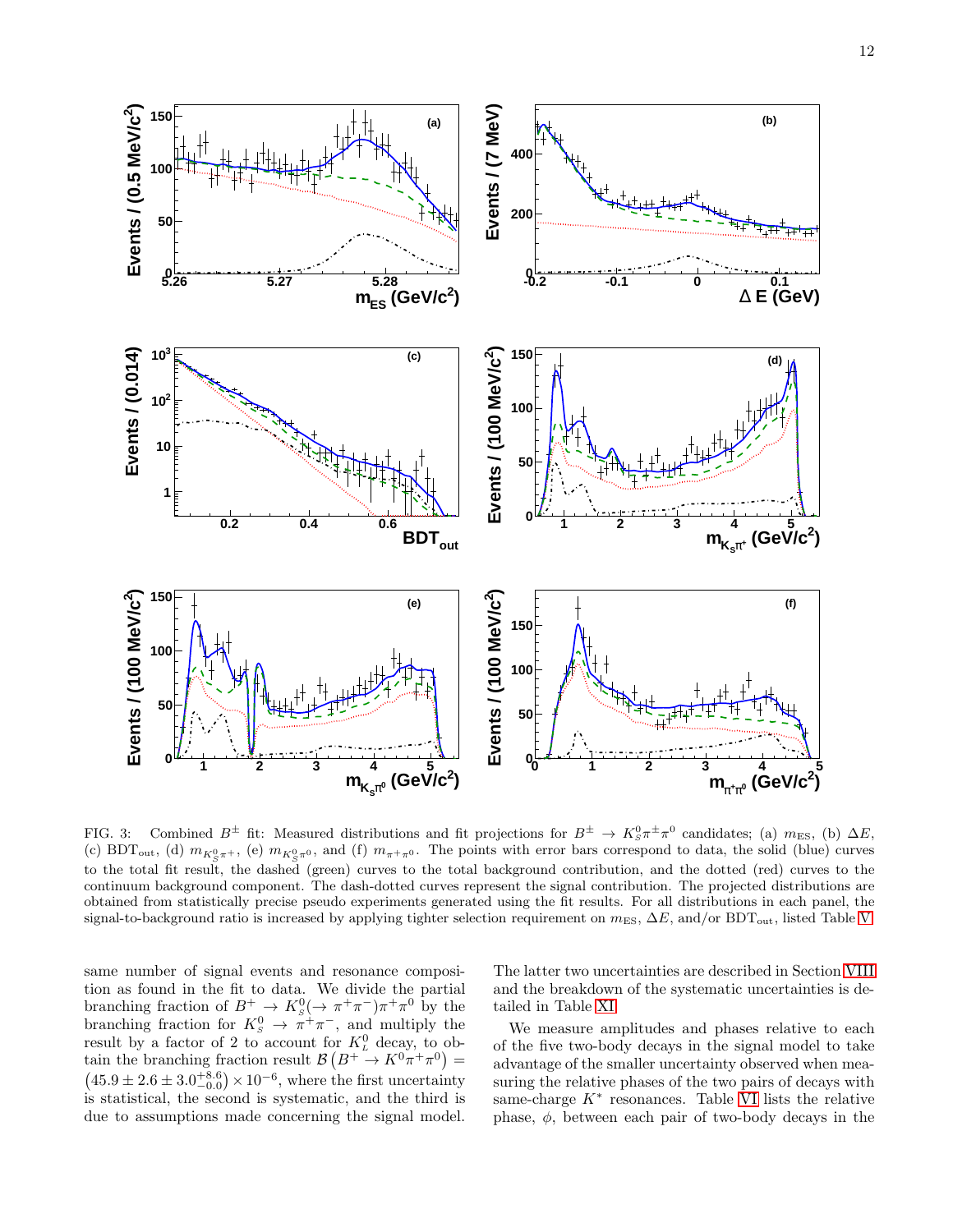

<span id="page-11-0"></span>FIG. 3: Combined  $B^{\pm}$  fit: Measured distributions and fit projections for  $B^{\pm} \to K_S^0 \pi^{\pm} \pi^0$  candidates; (a)  $m_{ES}$ , (b)  $\Delta E$ , (c) BDT<sub>out</sub>, (d)  $m_{K^0_S\pi^+}$ , (e)  $m_{K^0_S\pi^0}$ , and (f)  $m_{\pi^+\pi^0}$ . The points with error bars correspond to data, the solid (blue) curves to the total fit result, the dashed (green) curves to the total background contribution, and the dotted (red) curves to the continuum background component. The dash-dotted curves represent the signal contribution. The projected distributions are obtained from statistically precise pseudo experiments generated using the fit results. For all distributions in each panel, the signal-to-background ratio is increased by applying tighter selection requirement on  $m_{ES}$ ,  $\Delta E$ , and/or BDT<sub>out</sub>, listed Table [V.](#page-10-3)

same number of signal events and resonance composition as found in the fit to data. We divide the partial branching fraction of  $B^+ \to K^0_s (\to \pi^+ \pi^-) \pi^+ \pi^0$  by the branching fraction for  $K^0_s \to \pi^+\pi^-$ , and multiply the result by a factor of 2 to account for  $K<sub>L</sub><sup>0</sup>$  decay, to obtain the branching fraction result  $\mathcal{B}(B^+ \to K^0 \pi^+ \pi^0) =$  $(45.9 \pm 2.6 \pm 3.0^{+8.6}_{-0.0}) \times 10^{-6}$ , where the first uncertainty is statistical, the second is systematic, and the third is due to assumptions made concerning the signal model. The latter two uncertainties are described in Section [VIII](#page-14-0) and the breakdown of the systematic uncertainties is detailed in Table [XI.](#page-18-0)

We measure amplitudes and phases relative to each of the five two-body decays in the signal model to take advantage of the smaller uncertainty observed when measuring the relative phases of the two pairs of decays with same-charge  $K^*$  resonances. Table [VI](#page-12-0) lists the relative phase,  $\phi$ , between each pair of two-body decays in the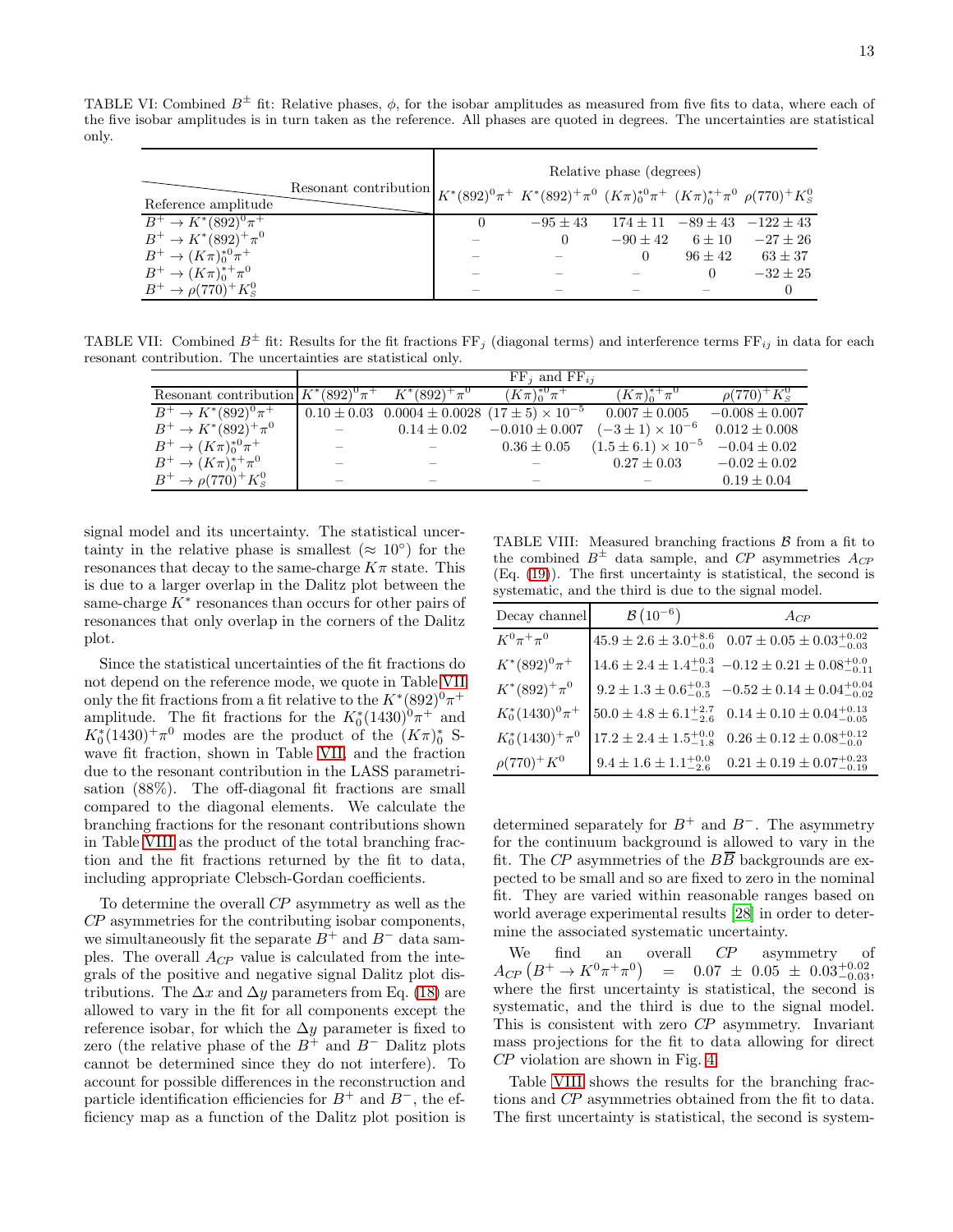TABLE VI: Combined  $B^{\pm}$  fit: Relative phases,  $\phi$ , for the isobar amplitudes as measured from five fits to data, where each of the five isobar amplitudes is in turn taken as the reference. All phases are quoted in degrees. The uncertainties are statistical only.

<span id="page-12-0"></span>

|                               |                                                                                                                | Relative phase (degrees) |            |            |           |                                         |  |  |  |
|-------------------------------|----------------------------------------------------------------------------------------------------------------|--------------------------|------------|------------|-----------|-----------------------------------------|--|--|--|
| Reference amplitude           | Resonant contribution $K^*(892)^0\pi^+ K^*(892)^+\pi^0 (K\pi)_0^{*0}\pi^+ (K\pi)_0^{*+}\pi^0 \rho(770)^+K^0_s$ |                          |            |            |           |                                         |  |  |  |
| $B^+ \to K^*(892)^0 \pi^+$    |                                                                                                                | 0                        | $-95 + 43$ |            |           | $174 \pm 11$ $-89 \pm 43$ $-122 \pm 43$ |  |  |  |
| $B^+ \to K^*(892)^+ \pi^0$    |                                                                                                                |                          |            | $-90 + 42$ | $6 + 10$  | $-27 \pm 26$                            |  |  |  |
| $B^+ \to (K\pi)_0^{*0}\pi^+$  |                                                                                                                |                          |            |            | $96 + 42$ | $63 \pm 37$                             |  |  |  |
| $B^+ \to (K\pi)_0^{*+} \pi^0$ |                                                                                                                |                          |            |            |           | $-32 + 25$                              |  |  |  |
| $B^+ \to \rho (770)^+ K^0_s$  |                                                                                                                |                          |            |            |           |                                         |  |  |  |

TABLE VII: Combined  $B^{\pm}$  fit: Results for the fit fractions  $FF_j$  (diagonal terms) and interference terms  $FF_{ij}$  in data for each resonant contribution. The uncertainties are statistical only.

<span id="page-12-1"></span>

|                                                           | $FF_i$ and $FF_{ii}$ |                                                                 |                      |                                |                      |  |  |
|-----------------------------------------------------------|----------------------|-----------------------------------------------------------------|----------------------|--------------------------------|----------------------|--|--|
| Resonant contribution $K^*(892)^0\pi^+$ $K^*(892)^+\pi^0$ |                      |                                                                 | $(K\pi)_0^{*0}\pi^+$ | $(K\pi)_{0}^{*+}\pi^{0}$       | $\rho(770)^+K_{S}^0$ |  |  |
| $B^+ \to K^*(892)^0 \overline{\pi^+}$                     |                      | $0.10 \pm 0.03$ $0.0004 \pm 0.0028$ $(17 \pm 5) \times 10^{-5}$ |                      | $0.007 \pm 0.005$              | $-0.008 \pm 0.007$   |  |  |
| $B^+ \to K^*(892)^+ \pi^0$                                |                      | $0.14 \pm 0.02$                                                 | $-0.010 \pm 0.007$   | $(-3 \pm 1) \times 10^{-6}$    | $0.012 \pm 0.008$    |  |  |
| $B^+ \to (K\pi)_0^{*0}\pi^+$                              |                      |                                                                 | $0.36 \pm 0.05$      | $(1.5 \pm 6.1) \times 10^{-5}$ | $-0.04 \pm 0.02$     |  |  |
| $B^+ \to (K\pi)_0^{*+} \pi^0$                             |                      |                                                                 |                      | $0.27 \pm 0.03$                | $-0.02 \pm 0.02$     |  |  |
| $B^+ \to \rho (770)^+ K^0_s$                              |                      |                                                                 |                      |                                | $0.19 \pm 0.04$      |  |  |

signal model and its uncertainty. The statistical uncertainty in the relative phase is smallest ( $\approx 10^{\circ}$ ) for the resonances that decay to the same-charge  $K\pi$  state. This is due to a larger overlap in the Dalitz plot between the same-charge  $K^*$  resonances than occurs for other pairs of resonances that only overlap in the corners of the Dalitz plot.

Since the statistical uncertainties of the fit fractions do not depend on the reference mode, we quote in Table [VII](#page-12-1) only the fit fractions from a fit relative to the  $K^*(892)^0\pi^+$ amplitude. The fit fractions for the  $K_0^*(1430)^0\pi^+$  and  $K_0^*(1430)^+\pi^0$  modes are the product of the  $(K\pi)_0^*$  Swave fit fraction, shown in Table [VII,](#page-12-1) and the fraction due to the resonant contribution in the LASS parametrisation (88%). The off-diagonal fit fractions are small compared to the diagonal elements. We calculate the branching fractions for the resonant contributions shown in Table [VIII](#page-12-2) as the product of the total branching fraction and the fit fractions returned by the fit to data, including appropriate Clebsch-Gordan coefficients.

To determine the overall CP asymmetry as well as the CP asymmetries for the contributing isobar components, we simultaneously fit the separate  $B^+$  and  $B^-$  data samples. The overall  $A_{CP}$  value is calculated from the integrals of the positive and negative signal Dalitz plot distributions. The  $\Delta x$  and  $\Delta y$  parameters from Eq. [\(18\)](#page-6-3) are allowed to vary in the fit for all components except the reference isobar, for which the  $\Delta y$  parameter is fixed to zero (the relative phase of the  $B^+$  and  $B^-$  Dalitz plots cannot be determined since they do not interfere). To account for possible differences in the reconstruction and particle identification efficiencies for  $B^+$  and  $B^-$ , the efficiency map as a function of the Dalitz plot position is

<span id="page-12-2"></span>TABLE VIII: Measured branching fractions  $\beta$  from a fit to the combined  $B^{\pm}$  data sample, and CP asymmetries  $A_{\text{CP}}$ (Eq. [\(19\)](#page-7-2)). The first uncertainty is statistical, the second is systematic, and the third is due to the signal model.

| Decay channel        | $B(10^{-6})$                         | $A_{CP}$                                  |
|----------------------|--------------------------------------|-------------------------------------------|
| $K^0\pi^+\pi^0$      | $45.9 \pm 2.6 \pm 3.0^{+8.6}_{-0.0}$ | $0.07 \pm 0.05 \pm 0.03_{-0.03}^{+0.02}$  |
| $K^*(892)^0\pi^+$    | $14.6 \pm 2.4 \pm 1.4^{+0.3}_{-0.4}$ | $-0.12 \pm 0.21 \pm 0.08_{-0.11}^{+0.0}$  |
| $K^*(892)^+\pi^0$    | $9.2 \pm 1.3 \pm 0.6^{+0.3}_{-0.5}$  | $-0.52 \pm 0.14 \pm 0.04_{-0.02}^{+0.04}$ |
| $K_0^*(1430)^0\pi^+$ | $50.0 \pm 4.8 \pm 6.1^{+2.7}_{-2.6}$ | $0.14 \pm 0.10 \pm 0.04_{-0.05}^{+0.13}$  |
| $K_0^*(1430)^+\pi^0$ | $17.2 \pm 2.4 \pm 1.5^{+0.0}_{-1.8}$ | $0.26 \pm 0.12 \pm 0.08^{+0.12}_{-0.0}$   |
| $\rho(770)^+K^0$     | $9.4 \pm 1.6 \pm 1.1^{+0.0}_{-2.6}$  | $0.21 \pm 0.19 \pm 0.07^{+0.23}_{-0.19}$  |

determined separately for  $B^+$  and  $B^-$ . The asymmetry for the continuum background is allowed to vary in the fit. The CP asymmetries of the  $B\overline{B}$  backgrounds are expected to be small and so are fixed to zero in the nominal fit. They are varied within reasonable ranges based on world average experimental results [\[28\]](#page-17-7) in order to determine the associated systematic uncertainty.

We find an overall CP asymmetry of  $A_{CP}$   $(B^+ \rightarrow K^0 \pi^+ \pi^0)$  $=$  0.07  $\pm$  0.05  $\pm$  0.03<sup>+0.02</sup>, 0.03<sup>+0.02</sup> where the first uncertainty is statistical, the second is systematic, and the third is due to the signal model. This is consistent with zero CP asymmetry. Invariant mass projections for the fit to data allowing for direct CP violation are shown in Fig. [4.](#page-13-0)

Table [VIII](#page-12-2) shows the results for the branching fractions and CP asymmetries obtained from the fit to data. The first uncertainty is statistical, the second is system-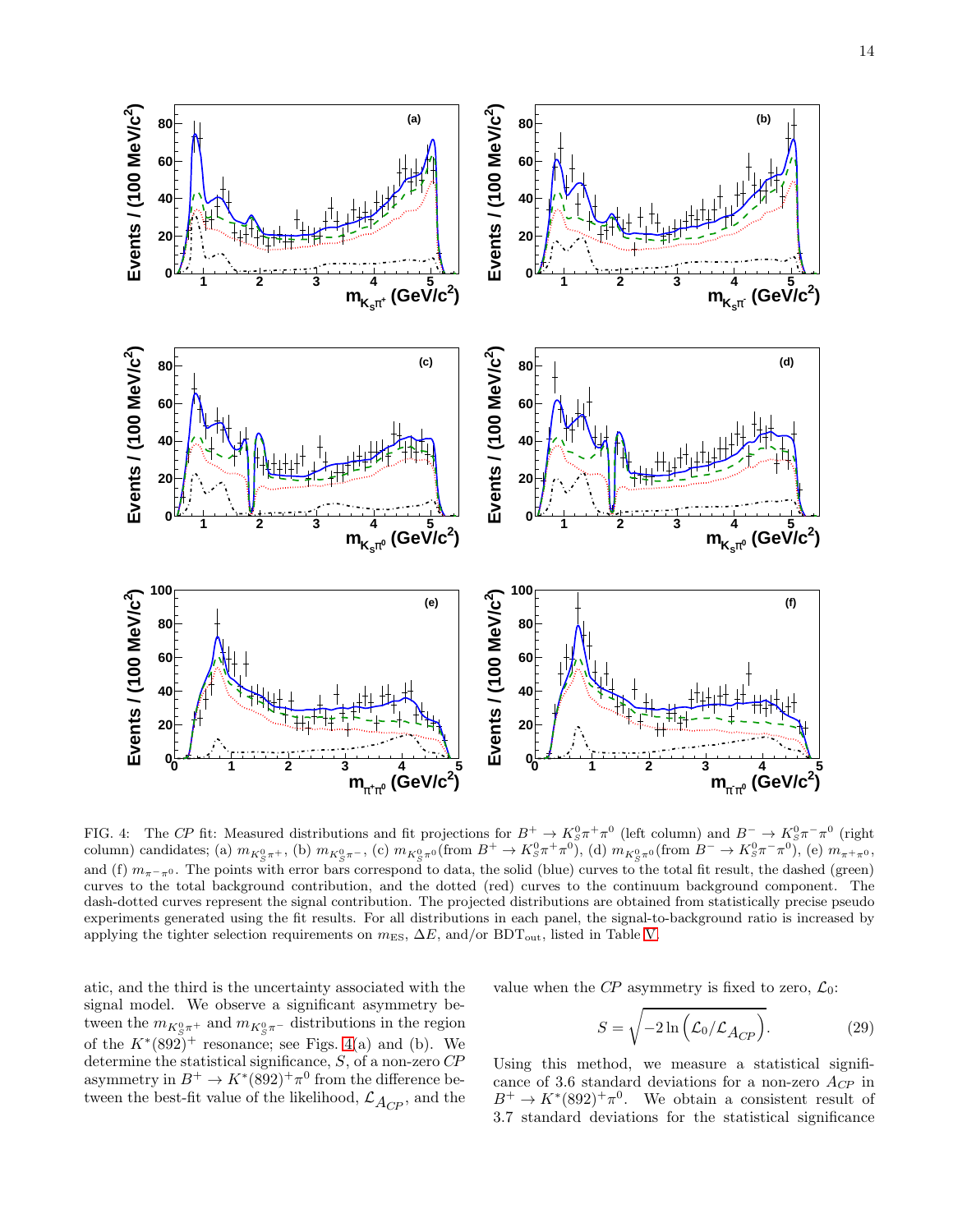

<span id="page-13-0"></span>FIG. 4: The CP fit: Measured distributions and fit projections for  $B^+ \to K_S^0 \pi^+ \pi^0$  (left column) and  $B^- \to K_S^0 \pi^- \pi^0$  (right column) candidates; (a)  $m_{K^0_S \pi^+}$ , (b)  $m_{K^0_S \pi^-}$ , (c)  $m_{K^0_S \pi^0}$  (from  $B^+ \to K^0_S \pi^+ \pi^0$ , (d)  $m_{K^0_S \pi^0}$  (from  $B^- \to K^0_S \pi^- \pi^0$ , (e)  $m_{\pi^+ \pi^0}$ , and (f)  $m_{\pi-\pi0}$ . The points with error bars correspond to data, the solid (blue) curves to the total fit result, the dashed (green) curves to the total background contribution, and the dotted (red) curves to the continuum background component. The dash-dotted curves represent the signal contribution. The projected distributions are obtained from statistically precise pseudo experiments generated using the fit results. For all distributions in each panel, the signal-to-background ratio is increased by applying the tighter selection requirements on  $m_{\text{ES}}$ ,  $\Delta E$ , and/or BDT<sub>out</sub>, listed in Table [V.](#page-10-3)

atic, and the third is the uncertainty associated with the signal model. We observe a significant asymmetry between the  $m_{K^0_S \pi^+}$  and  $m_{K^0_S \pi^-}$  distributions in the region of the  $K^*(892)^+$  resonance; see Figs. [4\(](#page-13-0)a) and (b). We determine the statistical significance, S, of a non-zero CP asymmetry in  $B^+ \to K^*(892)^+ \pi^0$  from the difference between the best-fit value of the likelihood,  $\mathcal{L}_{A_{CP}}$ , and the

value when the CP asymmetry is fixed to zero,  $\mathcal{L}_0$ :

$$
S = \sqrt{-2\ln\left(\mathcal{L}_0/\mathcal{L}_{A_{CP}}\right)}.
$$
 (29)

Using this method, we measure a statistical significance of 3.6 standard deviations for a non-zero  $A_{CP}$  in  $B^+ \to K^*(892)^+ \pi^0$ . We obtain a consistent result of 3.7 standard deviations for the statistical significance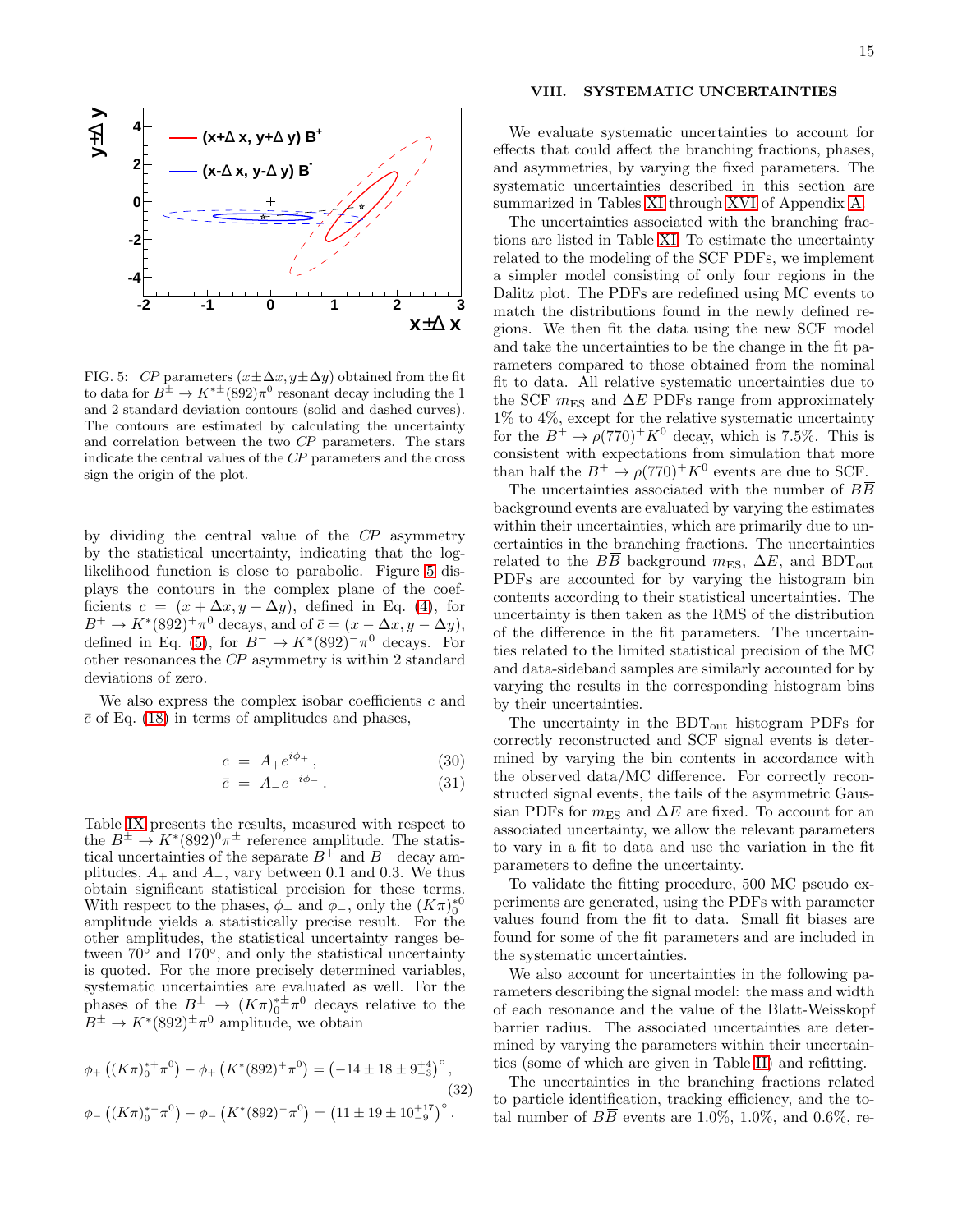

<span id="page-14-1"></span>FIG. 5: CP parameters  $(x \pm \Delta x, y \pm \Delta y)$  obtained from the fit to data for  $B^{\pm} \to K^{*\pm}$  (892) $\pi^0$  resonant decay including the 1 and 2 standard deviation contours (solid and dashed curves). The contours are estimated by calculating the uncertainty and correlation between the two CP parameters. The stars indicate the central values of the CP parameters and the cross sign the origin of the plot.

by dividing the central value of the CP asymmetry by the statistical uncertainty, indicating that the loglikelihood function is close to parabolic. Figure [5](#page-14-1) displays the contours in the complex plane of the coefficients  $c = (x + \Delta x, y + \Delta y)$ , defined in Eq. [\(4\)](#page-5-2), for  $B^+ \to K^*(892)^+ \pi^0$  decays, and of  $\bar{c} = (x - \Delta x, y - \Delta y),$ defined in Eq. [\(5\)](#page-5-2), for  $B^- \to K^*(892)^- \pi^0$  decays. For other resonances the CP asymmetry is within 2 standard deviations of zero.

We also express the complex isobar coefficients  $c$  and  $\bar{c}$  of Eq. [\(18\)](#page-6-3) in terms of amplitudes and phases,

$$
c = A_{+}e^{i\phi_{+}}, \qquad (30)
$$

$$
\bar{c} = A_- e^{-i\phi_-} \,. \tag{31}
$$

Table [IX](#page-15-1) presents the results, measured with respect to the  $B^{\pm} \to K^{*}(892)^{0} \pi^{\pm}$  reference amplitude. The statistical uncertainties of the separate  $B^+$  and  $B^-$  decay amplitudes,  $A_+$  and  $A_-$ , vary between 0.1 and 0.3. We thus obtain significant statistical precision for these terms. With respect to the phases,  $\phi_+$  and  $\phi_-$ , only the  $(K\pi)_0^{*0}$ amplitude yields a statistically precise result. For the other amplitudes, the statistical uncertainty ranges between  $70^{\circ}$  and  $170^{\circ}$ , and only the statistical uncertainty is quoted. For the more precisely determined variables, systematic uncertainties are evaluated as well. For the phases of the  $B^{\pm} \to (K\pi)^{*}_{0}^{\pm} \pi^{0}$  decays relative to the  $B^{\pm} \to K^*(892)^{\pm} \pi^0$  amplitude, we obtain

$$
\phi_{+}\left((K\pi)_{0}^{*+}\pi^{0}\right) - \phi_{+}\left(K^{*}(892)^{+}\pi^{0}\right) = \left(-14 \pm 18 \pm 9\frac{+4}{3}\right)^{\circ},\tag{32}
$$

$$
\phi_{-}\left((K\pi)_{0}^{*-}\pi^{0}\right) - \phi_{-}\left(K^{*}(892)^{-}\pi^{0}\right) = \left(11 \pm 19 \pm 10\frac{+17}{9}\right)^{\circ}.
$$

# <span id="page-14-0"></span>VIII. SYSTEMATIC UNCERTAINTIES

We evaluate systematic uncertainties to account for effects that could affect the branching fractions, phases, and asymmetries, by varying the fixed parameters. The systematic uncertainties described in this section are summarized in Tables [XI](#page-18-0) through [XVI](#page-21-0) of Appendix [A.](#page-17-27)

The uncertainties associated with the branching fractions are listed in Table [XI.](#page-18-0) To estimate the uncertainty related to the modeling of the SCF PDFs, we implement a simpler model consisting of only four regions in the Dalitz plot. The PDFs are redefined using MC events to match the distributions found in the newly defined regions. We then fit the data using the new SCF model and take the uncertainties to be the change in the fit parameters compared to those obtained from the nominal fit to data. All relative systematic uncertainties due to the SCF  $m<sub>ES</sub>$  and  $\Delta E$  PDFs range from approximately 1% to 4%, except for the relative systematic uncertainty for the  $B^+ \to \rho (770)^+ K^0$  decay, which is 7.5%. This is consistent with expectations from simulation that more than half the  $B^+ \to \rho (770)^+ K^0$  events are due to SCF.

The uncertainties associated with the number of  $B\overline{B}$ background events are evaluated by varying the estimates within their uncertainties, which are primarily due to uncertainties in the branching fractions. The uncertainties related to the  $B\overline{B}$  background  $m_{ES}$ ,  $\Delta E$ , and BDT<sub>out</sub> PDFs are accounted for by varying the histogram bin contents according to their statistical uncertainties. The uncertainty is then taken as the RMS of the distribution of the difference in the fit parameters. The uncertainties related to the limited statistical precision of the MC and data-sideband samples are similarly accounted for by varying the results in the corresponding histogram bins by their uncertainties.

The uncertainty in the  $BDT_{\text{out}}$  histogram PDFs for correctly reconstructed and SCF signal events is determined by varying the bin contents in accordance with the observed data/MC difference. For correctly reconstructed signal events, the tails of the asymmetric Gaussian PDFs for  $m<sub>ES</sub>$  and  $\Delta E$  are fixed. To account for an associated uncertainty, we allow the relevant parameters to vary in a fit to data and use the variation in the fit parameters to define the uncertainty.

To validate the fitting procedure, 500 MC pseudo experiments are generated, using the PDFs with parameter values found from the fit to data. Small fit biases are found for some of the fit parameters and are included in the systematic uncertainties.

We also account for uncertainties in the following parameters describing the signal model: the mass and width of each resonance and the value of the Blatt-Weisskopf barrier radius. The associated uncertainties are determined by varying the parameters within their uncertainties (some of which are given in Table [II\)](#page-6-1) and refitting.

The uncertainties in the branching fractions related to particle identification, tracking efficiency, and the total number of  $B\overline{B}$  events are 1.0%, 1.0%, and 0.6%, re-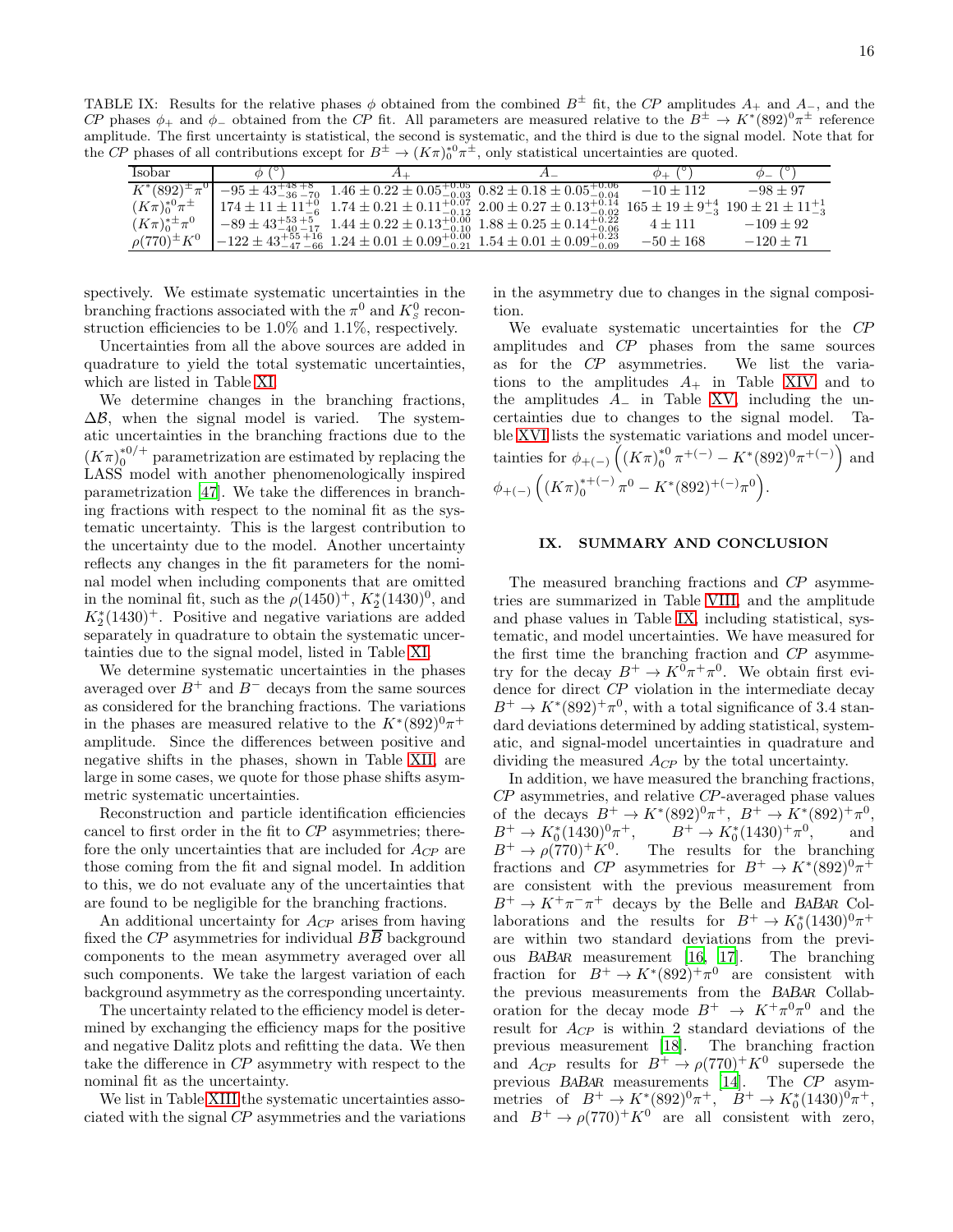TABLE IX: Results for the relative phases  $\phi$  obtained from the combined  $B^{\pm}$  fit, the CP amplitudes  $A_{+}$  and  $A_{-}$ , and the CP phases  $\phi_+$  and  $\phi_-$  obtained from the CP fit. All parameters are measured relative to the  $B^{\pm} \to K^*(892)^0 \pi^{\pm}$  reference amplitude. The first uncertainty is statistical, the second is systematic, and the third is due to the signal model. Note that for the CP phases of all contributions except for  $B^{\pm} \to (K\pi)^{00} \pi^{\pm}$ , only statistical uncertainties are quoted.

<span id="page-15-1"></span>

| Isobar                   |                                                                                                                                                                            | $\varphi$ +   |               |
|--------------------------|----------------------------------------------------------------------------------------------------------------------------------------------------------------------------|---------------|---------------|
|                          | $K^*(892)^{\pm}\pi^0$ $-95\pm43^{+48}_{-36}$ $+8$ $1.46\pm0.22\pm0.05^{+0.05}_{-0.03}$ $0.82\pm0.18\pm0.05^{+0.06}_{-0.04}$                                                | $-10 + 112$   | $-98 + 97$    |
| $(K\pi)_0^{*0}\pi^{\pm}$ | $174 \pm 11 \pm 11^{+0}_{-6}$ $1.74 \pm 0.21 \pm 0.11^{+0.07}_{-0.12}$ $2.00 \pm 0.27 \pm 0.13^{+0.14}_{-0.02}$ $165 \pm 19 \pm 9^{+4}_{-3}$ $190 \pm 21 \pm 11^{+1}_{-3}$ |               |               |
| $(K\pi)_0^{*\pm}\pi^0$   | $-89 \pm 43_{-40}^{+53}$ +5<br>$1.44 \pm 0.22 \pm 0.13_{-0.10}^{+0.00}$ $1.88 \pm 0.25 \pm 0.14_{-0.06}^{+0.22}$                                                           | $4 + 111$     | $-109 \pm 92$ |
| $\rho(770)^{\pm} K^{0}$  | $-122 \pm 43_{-47}^{+55}$ +16 1.24 $\pm$ 0.01 $\pm$ 0.09 <sup>+0.00</sup> 1.54 $\pm$ 0.01 $\pm$ 0.09 <sup>+0.23</sup>                                                      | $-50 \pm 168$ | $-120 + 71$   |

spectively. We estimate systematic uncertainties in the branching fractions associated with the  $\pi^0$  and  $K^0_s$  reconstruction efficiencies to be 1.0% and 1.1%, respectively.

Uncertainties from all the above sources are added in quadrature to yield the total systematic uncertainties, which are listed in Table [XI.](#page-18-0)

We determine changes in the branching fractions,  $\Delta\mathcal{B}$ , when the signal model is varied. The systematic uncertainties in the branching fractions due to the  $(K\pi)_0^{*0/+}$  parametrization are estimated by replacing the LASS model with another phenomenologically inspired parametrization [\[47](#page-17-28)]. We take the differences in branching fractions with respect to the nominal fit as the systematic uncertainty. This is the largest contribution to the uncertainty due to the model. Another uncertainty reflects any changes in the fit parameters for the nominal model when including components that are omitted in the nominal fit, such as the  $\rho(1450)^+$ ,  $K_2^*(1430)^0$ , and  $K_2^*(1430)^+$ . Positive and negative variations are added separately in quadrature to obtain the systematic uncertainties due to the signal model, listed in Table [XI.](#page-18-0)

We determine systematic uncertainties in the phases averaged over  $B^+$  and  $B^-$  decays from the same sources as considered for the branching fractions. The variations in the phases are measured relative to the  $K^*(892)^0\pi^+$ amplitude. Since the differences between positive and negative shifts in the phases, shown in Table [XII,](#page-19-0) are large in some cases, we quote for those phase shifts asymmetric systematic uncertainties.

Reconstruction and particle identification efficiencies cancel to first order in the fit to CP asymmetries; therefore the only uncertainties that are included for  $A_{CP}$  are those coming from the fit and signal model. In addition to this, we do not evaluate any of the uncertainties that are found to be negligible for the branching fractions.

An additional uncertainty for  $A_{CP}$  arises from having fixed the CP asymmetries for individual  $B\overline{B}$  background components to the mean asymmetry averaged over all such components. We take the largest variation of each background asymmetry as the corresponding uncertainty.

The uncertainty related to the efficiency model is determined by exchanging the efficiency maps for the positive and negative Dalitz plots and refitting the data. We then take the difference in CP asymmetry with respect to the nominal fit as the uncertainty.

We list in Table [XIII](#page-20-0) the systematic uncertainties associated with the signal CP asymmetries and the variations in the asymmetry due to changes in the signal composition.

We evaluate systematic uncertainties for the CP amplitudes and CP phases from the same sources as for the CP asymmetries. We list the variations to the amplitudes  $A_{+}$  in Table [XIV](#page-20-1) and to the amplitudes  $A_$  in Table [XV,](#page-21-1) including the uncertainties due to changes to the signal model. Table [XVI](#page-21-0) lists the systematic variations and model uncertainties for  $\phi_{+(-)}$   $((K_{\pi})_0^{*0})$ <sup>\*0</sup>  $\pi^{+(-)} - K^{*}(892)^{0} \pi^{+(-)}$  and  $\phi_{+(-)}$   $\left((K\pi)_0^{*+(-)}\right)$  $b_0^{*+(-)} \pi^0 - K^*(892)^{+(-)}\pi^0.$ 

# <span id="page-15-0"></span>IX. SUMMARY AND CONCLUSION

The measured branching fractions and CP asymmetries are summarized in Table [VIII,](#page-12-2) and the amplitude and phase values in Table [IX,](#page-15-1) including statistical, systematic, and model uncertainties. We have measured for the first time the branching fraction and CP asymmetry for the decay  $B^+ \to K^0 \pi^+ \pi^0$ . We obtain first evidence for direct CP violation in the intermediate decay  $B^+ \to K^*(892)^+ \pi^0$ , with a total significance of 3.4 standard deviations determined by adding statistical, systematic, and signal-model uncertainties in quadrature and dividing the measured  $A_{CP}$  by the total uncertainty.

In addition, we have measured the branching fractions, CP asymmetries, and relative CP-averaged phase values of the decays  $B^+ \to K^*(892)^0 \pi^+, B^+ \to K^*(892)^+ \pi^0$  $B^+ \to K_0^*(1430)^0 \pi^+, \qquad B^+ \to K_0^*(1430)^+ \pi^0,$  and  $B^+ \to \rho (770)^+ K^0$ . The results for the branching fractions and CP asymmetries for  $B^+ \to K^*(892)^0 \pi^+$ are consistent with the previous measurement from  $B^+ \to K^+\pi^-\pi^+$  decays by the Belle and BABAR Collaborations and the results for  $B^+ \to K_0^*(1430)^0 \pi^+$ are within two standard deviations from the previous BABAR measurement [\[16](#page-16-14), [17](#page-16-15)]. The branching fraction for  $B^+ \to K^*(892)^+ \pi^0$  are consistent with the previous measurements from the BABAR Collaboration for the decay mode  $B^+ \rightarrow K^+\pi^0\pi^0$  and the result for  $A_{CP}$  is within 2 standard deviations of the previous measurement [\[18](#page-16-16)]. The branching fraction and  $A_{CP}$  results for  $B^+ \to \rho (770)^+ K^0$  supersede the previous BABAR measurements [\[14](#page-16-12)]. The CP asymmetries of  $B^+ \to K^*(892)^0 \pi^+, \quad B^+ \to K^*_0 (1430)^0 \pi^+,$ and  $B^+ \to \rho (770)^+ K^0$  are all consistent with zero,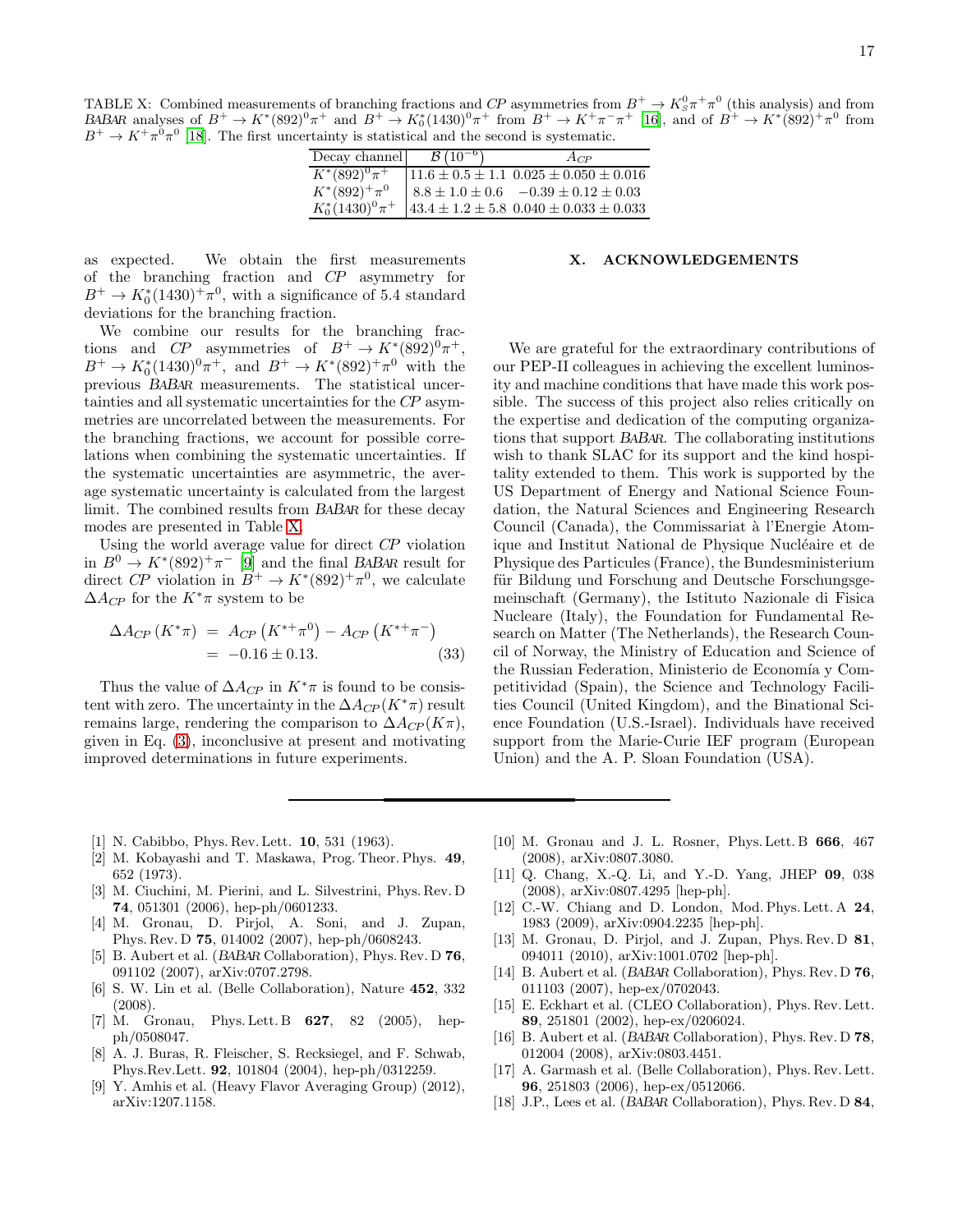<span id="page-16-17"></span>TABLE X: Combined measurements of branching fractions and CP asymmetries from  $B^+ \to K_S^0 \pi^+ \pi^0$  (this analysis) and from BABAR analyses of  $B^+ \to K^*(892)^0\pi^+$  and  $B^+ \to K_0^*(1430)^0\pi^+$  from  $B^+ \to K^+\pi^-\pi^+$  [\[16](#page-16-14)], and of  $B^+ \to K^*(892)^+\pi^0$  from  $B^+ \to K^+ \pi^0 \pi^0$  [\[18\]](#page-16-16). The first uncertainty is statistical and the second is systematic.

| Decay channel        | $B(10^{-6})$ | $A_{CP}$                                            |
|----------------------|--------------|-----------------------------------------------------|
| $K^*(892)^0 \pi^+$   |              | $11.6 \pm 0.5 \pm 1.1$ $0.025 \pm 0.050 \pm 0.016$  |
| $K^*(892)^+\pi^0$    |              | $8.8 \pm 1.0 \pm 0.6$ $-0.39 \pm 0.12 \pm 0.03$     |
| $K_0^*(1430)^0\pi^+$ |              | $143.4 \pm 1.2 \pm 5.8$ $0.040 \pm 0.033 \pm 0.033$ |

as expected. We obtain the first measurements of the branching fraction and CP asymmetry for  $B^+ \to K_0^*(1430)^+ \pi^0$ , with a significance of 5.4 standard deviations for the branching fraction.

We combine our results for the branching fractions and CP asymmetries of  $B^+ \to K^*(892)^0 \pi^+,$  $B^+ \to K_0^*(1430)^0 \pi^+,$  and  $B^+ \to K^*(892)^+ \pi^0$  with the previous BABAR measurements. The statistical uncertainties and all systematic uncertainties for the CP asymmetries are uncorrelated between the measurements. For the branching fractions, we account for possible correlations when combining the systematic uncertainties. If the systematic uncertainties are asymmetric, the average systematic uncertainty is calculated from the largest limit. The combined results from BABAR for these decay modes are presented in Table [X.](#page-16-17)

Using the world average value for direct CP violation in  $B^0 \to K^*(892)^+\pi^-$  [\[9\]](#page-16-8) and the final BABAR result for direct CP violation in  $B^+ \to K^*(892)^+ \pi^0$ , we calculate  $\Delta A_{CP}$  for the  $K^*\pi$  system to be

$$
\Delta A_{CP} (K^* \pi) = A_{CP} (K^{*+} \pi^0) - A_{CP} (K^{*+} \pi^-)
$$
  
= -0.16 \pm 0.13. (33)

Thus the value of  $\Delta A_{CP}$  in  $K^*\pi$  is found to be consistent with zero. The uncertainty in the  $\Delta A_{CP}(K^*\pi)$  result remains large, rendering the comparison to  $\Delta A_{CP}(K\pi)$ , given in Eq. [\(3\)](#page-4-9), inconclusive at present and motivating improved determinations in future experiments.

#### X. ACKNOWLEDGEMENTS

We are grateful for the extraordinary contributions of our PEP-II colleagues in achieving the excellent luminosity and machine conditions that have made this work possible. The success of this project also relies critically on the expertise and dedication of the computing organizations that support BABAR. The collaborating institutions wish to thank SLAC for its support and the kind hospitality extended to them. This work is supported by the US Department of Energy and National Science Foundation, the Natural Sciences and Engineering Research Council (Canada), the Commissariat à l'Energie Atomique and Institut National de Physique Nucléaire et de Physique des Particules (France), the Bundesministerium für Bildung und Forschung and Deutsche Forschungsgemeinschaft (Germany), the Istituto Nazionale di Fisica Nucleare (Italy), the Foundation for Fundamental Research on Matter (The Netherlands), the Research Council of Norway, the Ministry of Education and Science of the Russian Federation, Ministerio de Economía y Competitividad (Spain), the Science and Technology Facilities Council (United Kingdom), and the Binational Science Foundation (U.S.-Israel). Individuals have received support from the Marie-Curie IEF program (European Union) and the A. P. Sloan Foundation (USA).

- <span id="page-16-0"></span>[1] N. Cabibbo, Phys. Rev. Lett. 10, 531 (1963).
- <span id="page-16-1"></span>[2] M. Kobayashi and T. Maskawa, Prog. Theor. Phys. 49, 652 (1973).
- <span id="page-16-2"></span>[3] M. Ciuchini, M. Pierini, and L. Silvestrini, Phys. Rev. D 74, 051301 (2006), hep-ph/0601233.
- <span id="page-16-3"></span>[4] M. Gronau, D. Pirjol, A. Soni, and J. Zupan, Phys. Rev. D 75, 014002 (2007), hep-ph/0608243.
- <span id="page-16-4"></span>[5] B. Aubert et al. (BABAR Collaboration), Phys. Rev. D 76, 091102 (2007), arXiv:0707.2798.
- <span id="page-16-5"></span>[6] S. W. Lin et al. (Belle Collaboration), Nature 452, 332 (2008).
- <span id="page-16-6"></span>[7] M. Gronau, Phys. Lett. B **627**, 82 (2005), hepph/0508047.
- <span id="page-16-7"></span>[8] A. J. Buras, R. Fleischer, S. Recksiegel, and F. Schwab, Phys.Rev.Lett. 92, 101804 (2004), hep-ph/0312259.
- <span id="page-16-8"></span>[9] Y. Amhis et al. (Heavy Flavor Averaging Group) (2012), arXiv:1207.1158.
- <span id="page-16-9"></span>[10] M. Gronau and J. L. Rosner, Phys. Lett. B 666, 467 (2008), arXiv:0807.3080.
- <span id="page-16-10"></span>[11] Q. Chang, X.-Q. Li, and Y.-D. Yang, JHEP 09, 038 (2008), arXiv:0807.4295 [hep-ph].
- [12] C.-W. Chiang and D. London, Mod. Phys. Lett. A 24, 1983 (2009), arXiv:0904.2235 [hep-ph].
- <span id="page-16-11"></span>[13] M. Gronau, D. Pirjol, and J. Zupan, Phys. Rev. D 81, 094011 (2010), arXiv:1001.0702 [hep-ph].
- <span id="page-16-12"></span>[14] B. Aubert et al. (BABAR Collaboration), Phys. Rev. D 76, 011103 (2007), hep-ex/0702043.
- <span id="page-16-13"></span>[15] E. Eckhart et al. (CLEO Collaboration), Phys. Rev. Lett. 89, 251801 (2002), hep-ex/0206024.
- <span id="page-16-14"></span>[16] B. Aubert et al. (BABAR Collaboration), Phys. Rev. D 78, 012004 (2008), arXiv:0803.4451.
- <span id="page-16-15"></span>[17] A. Garmash et al. (Belle Collaboration), Phys. Rev. Lett. 96, 251803 (2006), hep-ex/0512066.
- <span id="page-16-16"></span>[18] J.P., Lees et al. (BABAR Collaboration), Phys. Rev. D 84,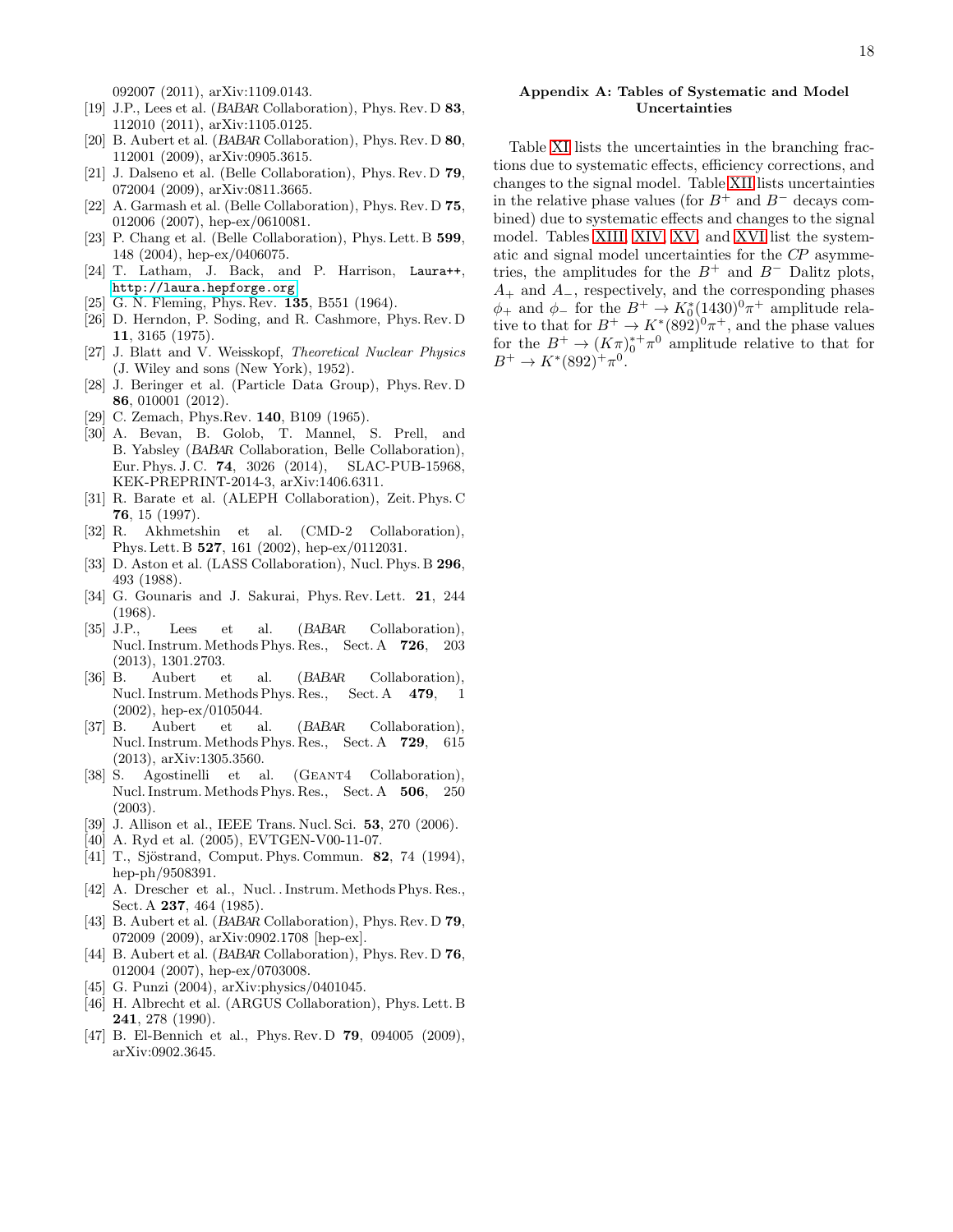092007 (2011), arXiv:1109.0143.

- <span id="page-17-0"></span>[19] J.P., Lees et al. (BABAR Collaboration), Phys. Rev. D 83, 112010 (2011), arXiv:1105.0125.
- <span id="page-17-26"></span>[20] B. Aubert et al. (BABAR Collaboration), Phys. Rev. D 80, 112001 (2009), arXiv:0905.3615.
- [21] J. Dalseno et al. (Belle Collaboration), Phys. Rev. D 79, 072004 (2009), arXiv:0811.3665.
- <span id="page-17-1"></span>[22] A. Garmash et al. (Belle Collaboration), Phys. Rev. D 75, 012006 (2007), hep-ex/0610081.
- <span id="page-17-2"></span>[23] P. Chang et al. (Belle Collaboration), Phys. Lett. B 599, 148 (2004), hep-ex/0406075.
- <span id="page-17-3"></span>[24] T. Latham, J. Back, and P. Harrison, Laura++, <http://laura.hepforge.org>.
- <span id="page-17-4"></span>[25] G. N. Fleming, Phys. Rev. **135**, B551 (1964).
- <span id="page-17-5"></span>[26] D. Herndon, P. Soding, and R. Cashmore, Phys. Rev. D 11, 3165 (1975).
- <span id="page-17-6"></span>[27] J. Blatt and V. Weisskopf, Theoretical Nuclear Physics (J. Wiley and sons (New York), 1952).
- <span id="page-17-7"></span>[28] J. Beringer et al. (Particle Data Group), Phys. Rev. D 86, 010001 (2012).
- <span id="page-17-8"></span>[29] C. Zemach, Phys.Rev. **140**, B109 (1965).
- <span id="page-17-9"></span>[30] A. Bevan, B. Golob, T. Mannel, S. Prell, and B. Yabsley (BABAR Collaboration, Belle Collaboration), Eur. Phys. J. C. 74, 3026 (2014), SLAC-PUB-15968, KEK-PREPRINT-2014-3, arXiv:1406.6311.
- <span id="page-17-10"></span>[31] R. Barate et al. (ALEPH Collaboration), Zeit. Phys. C 76, 15 (1997).
- <span id="page-17-11"></span>[32] R. Akhmetshin et al. (CMD-2 Collaboration), Phys. Lett. B 527, 161 (2002), hep-ex/0112031.
- <span id="page-17-12"></span>[33] D. Aston et al. (LASS Collaboration), Nucl. Phys. B 296, 493 (1988).
- <span id="page-17-13"></span>[34] G. Gounaris and J. Sakurai, Phys. Rev. Lett. **21**, 244 (1968).
- <span id="page-17-14"></span>[35] J.P., Lees et al. (BABAR Collaboration), Nucl. Instrum. Methods Phys. Res., Sect. A 726, 203 (2013), 1301.2703.
- <span id="page-17-15"></span>[36] B. Aubert et al. (BABAR Collaboration), Nucl. Instrum. Methods Phys. Res., Sect. A 479, 1 (2002), hep-ex/0105044.
- <span id="page-17-16"></span>[37] B. Aubert et al. (BABAR Collaboration), Nucl. Instrum. Methods Phys. Res., Sect. A 729, 615 (2013), arXiv:1305.3560.
- <span id="page-17-17"></span>[38] S. Agostinelli et al. (GEANT4 Collaboration), Nucl. Instrum. Methods Phys. Res., Sect. A 506, 250 (2003).
- <span id="page-17-18"></span>[39] J. Allison et al., IEEE Trans. Nucl. Sci. 53, 270 (2006).
- <span id="page-17-19"></span>[40] A. Ryd et al. (2005), EVTGEN-V00-11-07.
- <span id="page-17-20"></span>[41] T., Sjöstrand, Comput. Phys. Commun. **82**, 74 (1994), hep-ph/9508391.
- <span id="page-17-21"></span>[42] A. Drescher et al., Nucl. . Instrum. Methods Phys. Res., Sect. A 237, 464 (1985).
- <span id="page-17-22"></span>[43] B. Aubert et al. (BABAR Collaboration), Phys. Rev. D 79, 072009 (2009), arXiv:0902.1708 [hep-ex].
- <span id="page-17-23"></span>[44] B. Aubert et al. (BABAR Collaboration), Phys. Rev. D 76, 012004 (2007), hep-ex/0703008.
- <span id="page-17-24"></span>[45] G. Punzi (2004), arXiv: physics / 0401045.
- <span id="page-17-25"></span>[46] H. Albrecht et al. (ARGUS Collaboration), Phys. Lett. B 241, 278 (1990).
- <span id="page-17-28"></span>[47] B. El-Bennich et al., Phys. Rev. D **79**, 094005 (2009), arXiv:0902.3645.

# <span id="page-17-27"></span>Appendix A: Tables of Systematic and Model Uncertainties

Table [XI](#page-18-0) lists the uncertainties in the branching fractions due to systematic effects, efficiency corrections, and changes to the signal model. Table [XII](#page-19-0) lists uncertainties in the relative phase values (for  $B^+$  and  $B^-$  decays combined) due to systematic effects and changes to the signal model. Tables [XIII,](#page-20-0) [XIV,](#page-20-1) [XV,](#page-21-1) and [XVI](#page-21-0) list the systematic and signal model uncertainties for the CP asymmetries, the amplitudes for the  $B^+$  and  $B^-$  Dalitz plots,  $A_+$  and  $A_-$ , respectively, and the corresponding phases  $\phi_+$  and  $\phi_-$  for the  $B^+ \to K_0^*(1430)^0 \pi^+$  amplitude relative to that for  $B^+ \to K^*(892)^0 \pi^+$ , and the phase values for the  $B^+ \to (K\pi)^{*+}\pi^0$  amplitude relative to that for  $B^+ \to K^*(892)^+ \pi^0$ .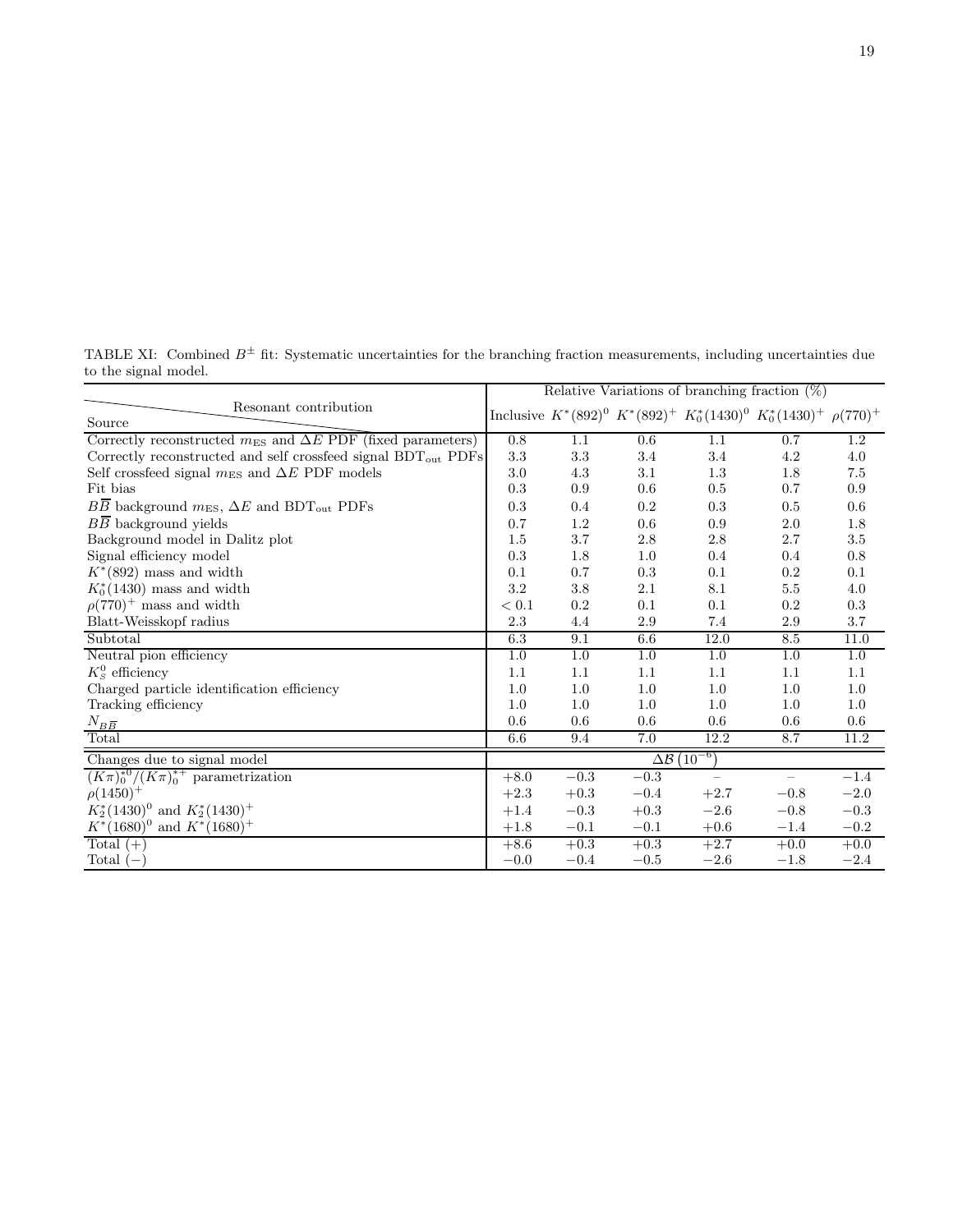<span id="page-18-0"></span>TABLE XI: Combined  $B^{\pm}$  fit: Systematic uncertainties for the branching fraction measurements, including uncertainties due to the signal model.

|                                                                              | Relative Variations of branching fraction $(\%)$ |          |          |                          |                                                                           |          |
|------------------------------------------------------------------------------|--------------------------------------------------|----------|----------|--------------------------|---------------------------------------------------------------------------|----------|
| Resonant contribution<br>Source                                              |                                                  |          |          |                          | Inclusive $K^*(892)^0 K^*(892)^+ K_0^*(1430)^0 K_0^*(1430)^+ \rho(770)^+$ |          |
| Correctly reconstructed $m_{ES}$ and $\Delta E$ PDF (fixed parameters)       | 0.8                                              | 1.1      | 0.6      | 1.1                      | 0.7                                                                       | $1.2\,$  |
| Correctly reconstructed and self crossfeed signal $\mathrm{BDT_{out}}$ PDFs  | 3.3                                              | $3.3\,$  | 3.4      | 3.4                      | 4.2                                                                       | 4.0      |
| Self crossfeed signal $m_{ES}$ and $\Delta E$ PDF models                     | 3.0                                              | 4.3      | 3.1      | 1.3                      | 1.8                                                                       | 7.5      |
| Fit bias                                                                     | 0.3                                              | 0.9      | 0.6      | 0.5                      | 0.7                                                                       | 0.9      |
| $B\overline{B}$ background $m_{ES}$ , $\Delta E$ and BDT <sub>out</sub> PDFs | 0.3                                              | 0.4      | 0.2      | 0.3                      | 0.5                                                                       | 0.6      |
| $B\overline{B}$ background yields                                            | 0.7                                              | 1.2      | 0.6      | 0.9                      | 2.0                                                                       | $1.8\,$  |
| Background model in Dalitz plot                                              | 1.5                                              | $3.7\,$  | 2.8      | 2.8                      | 2.7                                                                       | 3.5      |
| Signal efficiency model                                                      | 0.3                                              | 1.8      | 1.0      | 0.4                      | 0.4                                                                       | $0.8\,$  |
| $K^*(892)$ mass and width                                                    | 0.1                                              | 0.7      | 0.3      | 0.1                      | 0.2                                                                       | 0.1      |
| $K_0^*(1430)$ mass and width                                                 | $\!3.2\!$                                        | $3.8\,$  | 2.1      | 8.1                      | 5.5                                                                       | $4.0\,$  |
| $\rho(770)^+$ mass and width                                                 | < 0.1                                            | $0.2\,$  | 0.1      | 0.1                      | 0.2                                                                       | 0.3      |
| Blatt-Weisskopf radius                                                       | 2.3                                              | 4.4      | 2.9      | 7.4                      | 2.9                                                                       | $3.7\,$  |
| Subtotal                                                                     | 6.3                                              | 9.1      | 6.6      | 12.0                     | 8.5                                                                       | 11.0     |
| Neutral pion efficiency                                                      | $1.0\,$                                          | 1.0      | 1.0      | 1.0                      | 1.0                                                                       | 1.0      |
| $K_S^0$ efficiency                                                           | 1.1                                              | 1.1      | 1.1      | 1.1                      | 1.1                                                                       | 1.1      |
| Charged particle identification efficiency                                   | 1.0                                              | 1.0      | 1.0      | 1.0                      | 1.0                                                                       | $1.0\,$  |
| Tracking efficiency                                                          | 1.0                                              | 1.0      | 1.0      | 1.0                      | 1.0                                                                       | 1.0      |
| $N_{B\overline{B}}$                                                          | 0.6                                              | 0.6      | 0.6      | 0.6                      | 0.6                                                                       | $0.6\,$  |
| Total                                                                        | 6.6                                              | 9.4      | 7.0      | 12.2                     | 8.7                                                                       | 11.2     |
| Changes due to signal model                                                  | $\Delta\mathcal{B}$ $\overline{(10^{-6})}$       |          |          |                          |                                                                           |          |
| $(K\pi)_0^{*0}/(K\pi)_0^{*+}$ parametrization                                | $+8.0$                                           | $-0.3$   | $-0.3$   | $\overline{\phantom{m}}$ | $\qquad \qquad -$                                                         | $-1.4$   |
| $\rho(1450)^{+}$                                                             | $+2.3$                                           | $+0.3\,$ | $-0.4$   | $+2.7$                   | $-0.8$                                                                    | $-2.0$   |
| $K_2^*(1430)^0$ and $K_2^*(1430)^+$                                          | $+1.4$                                           | $-0.3$   | $+0.3$   | $-2.6$                   | $-0.8$                                                                    | $-0.3$   |
| $K^*(1680)^0$ and $K^*(1680)^+$                                              | $+1.8$                                           | $-0.1$   | $\!-0.1$ | $+0.6$                   | $-1.4\,$                                                                  | $\!-0.2$ |
| Total $(+)$                                                                  | $+8.6$                                           | $+0.3$   | $+0.3$   | $+2.7$                   | $+0.0$                                                                    | $+0.0$   |
| Total $(-)$                                                                  | $-0.0$                                           | $-0.4$   | $-0.5$   | $-2.6$                   | $-1.8$                                                                    | $-2.4$   |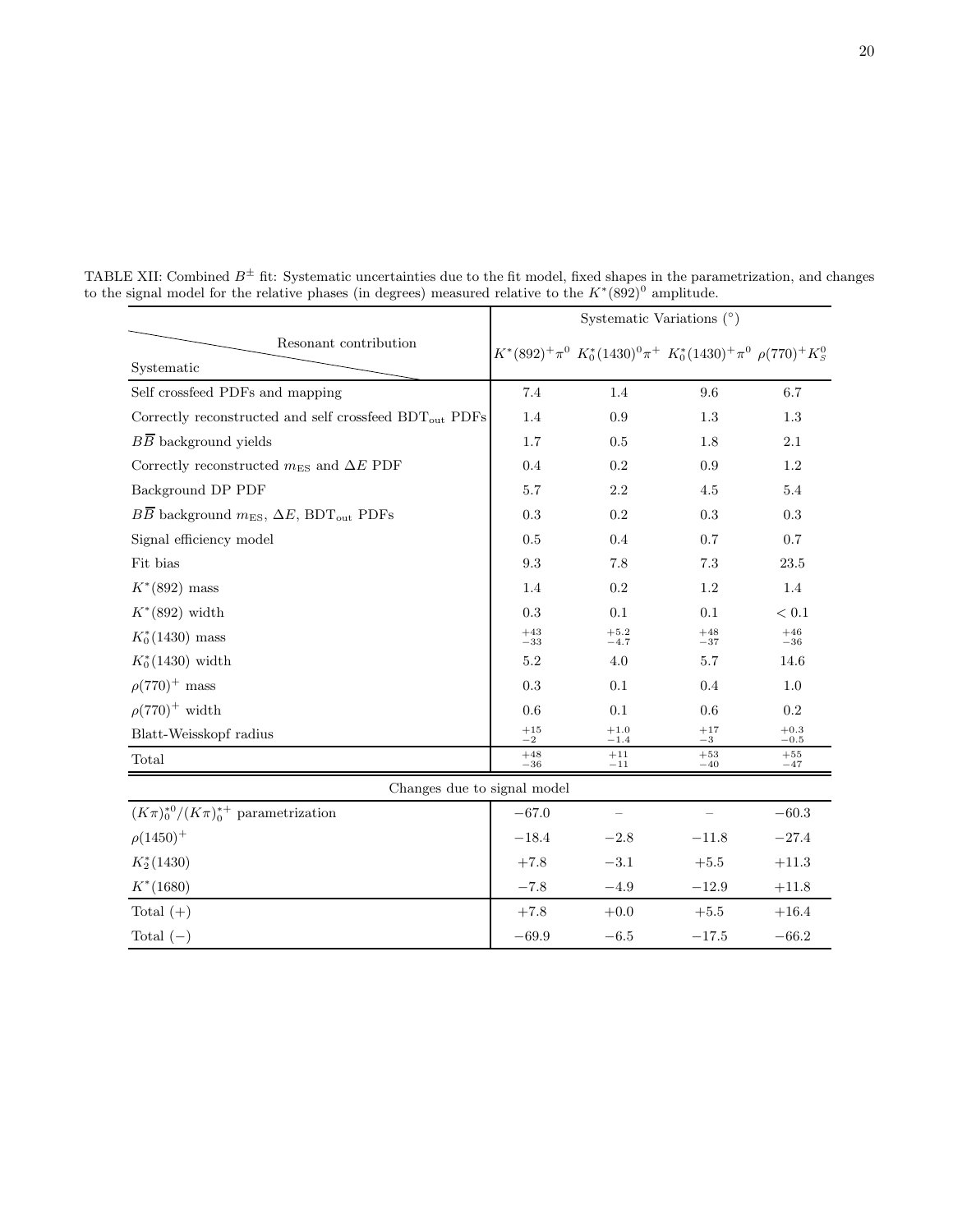<span id="page-19-0"></span>

|                                                                            | Systematic Variations $(°)$ |                  |                                                                                                            |                         |  |
|----------------------------------------------------------------------------|-----------------------------|------------------|------------------------------------------------------------------------------------------------------------|-------------------------|--|
| Resonant contribution                                                      |                             |                  | $K^{*}(892)^{+}\pi^{0} \ K^{*}_{0}(1430)^{0}\pi^{+} \ K^{*}_{0}(1430)^{+}\pi^{0} \ \rho(770)^{+}K^{0}_{S}$ |                         |  |
| Systematic                                                                 |                             |                  |                                                                                                            |                         |  |
| Self crossfeed PDFs and mapping                                            | 7.4                         | 1.4              | 9.6                                                                                                        | 6.7                     |  |
| Correctly reconstructed and self crossfeed $\operatorname{BDT_{out}}$ PDFs | 1.4                         | 0.9              | 1.3                                                                                                        | 1.3                     |  |
| $B\overline{B}$ background yields                                          | 1.7                         | 0.5              | 1.8                                                                                                        | 2.1                     |  |
| Correctly reconstructed $m_{ES}$ and $\Delta E$ PDF                        | 0.4                         | $0.2\,$          | 0.9                                                                                                        | 1.2                     |  |
| Background DP PDF                                                          | 5.7                         | $2.2\,$          | 4.5                                                                                                        | 5.4                     |  |
| $B\overline{B}$ background $m_{ES}$ , $\Delta E$ , BDT <sub>out</sub> PDFs | 0.3                         | $0.2\,$          | $0.3\,$                                                                                                    | 0.3                     |  |
| Signal efficiency model                                                    | 0.5                         | 0.4              | 0.7                                                                                                        | $0.7\,$                 |  |
| Fit bias                                                                   | $\rm 9.3$                   | 7.8              | $7.3\,$                                                                                                    | $23.5\,$                |  |
| $K^*(892)$ mass                                                            | 1.4                         | $0.2\,$          | 1.2                                                                                                        | 1.4                     |  |
| $K^*(892)$ width                                                           | 0.3                         | 0.1              | 0.1                                                                                                        | $< 0.1$                 |  |
| $K_0^*(1430)$ mass                                                         | $\substack{+43 \\ -33}$     | $^{+5.2}_{-4.7}$ | $^{+48}_{-37}\,$                                                                                           | $\substack{+46 \\ -36}$ |  |
| $K_0^*(1430)$ width                                                        | 5.2                         | 4.0              | 5.7                                                                                                        | 14.6                    |  |
| $\rho(770)^+$ mass                                                         | 0.3                         | 0.1              | 0.4                                                                                                        | 1.0                     |  |
| $\rho(770)^+$ width                                                        | 0.6                         | $0.1\,$          | 0.6                                                                                                        | $\rm 0.2$               |  |
| Blatt-Weisskopf radius                                                     | $\substack{+15 \\ -2}$      | $^{+1.0}_{-1.4}$ | $\substack{+17 \\ -3}$                                                                                     | $^{+0.3}_{-0.5}$        |  |
| Total                                                                      | $+48$<br>$-36$              | $+11$<br>$-11$   | $+53$<br>$-40$                                                                                             | $+55$<br>$-47$          |  |
| Changes due to signal model                                                |                             |                  |                                                                                                            |                         |  |
| $(K\pi)_0^{*0}/(K\pi)_0^{*+}$ parametrization                              | $-67.0$                     |                  |                                                                                                            | $-60.3$                 |  |
| $\rho(1450)^{+}$                                                           | $-18.4$                     | $-2.8$           | $-11.8$                                                                                                    | $-27.4$                 |  |
| $K_2^*(1430)$                                                              | $+7.8$                      | $-3.1$           | $+5.5$                                                                                                     | $+11.3$                 |  |
| $K^*(1680)$                                                                | $-7.8$                      | $-4.9$           | $-12.9$                                                                                                    | $+11.8$                 |  |
| Total $(+)$                                                                | $+7.8$                      | $+0.0$           | $+5.5$                                                                                                     | $+16.4$                 |  |
| Total $(-)$                                                                | $-69.9$                     | $-6.5$           | $-17.5$                                                                                                    | $-66.2$                 |  |

TABLE XII: Combined  $B^{\pm}$  fit: Systematic uncertainties due to the fit model, fixed shapes in the parametrization, and changes to the signal model for the relative phases (in degrees) measured relative to the  $K^*(892)^0$  amplitude.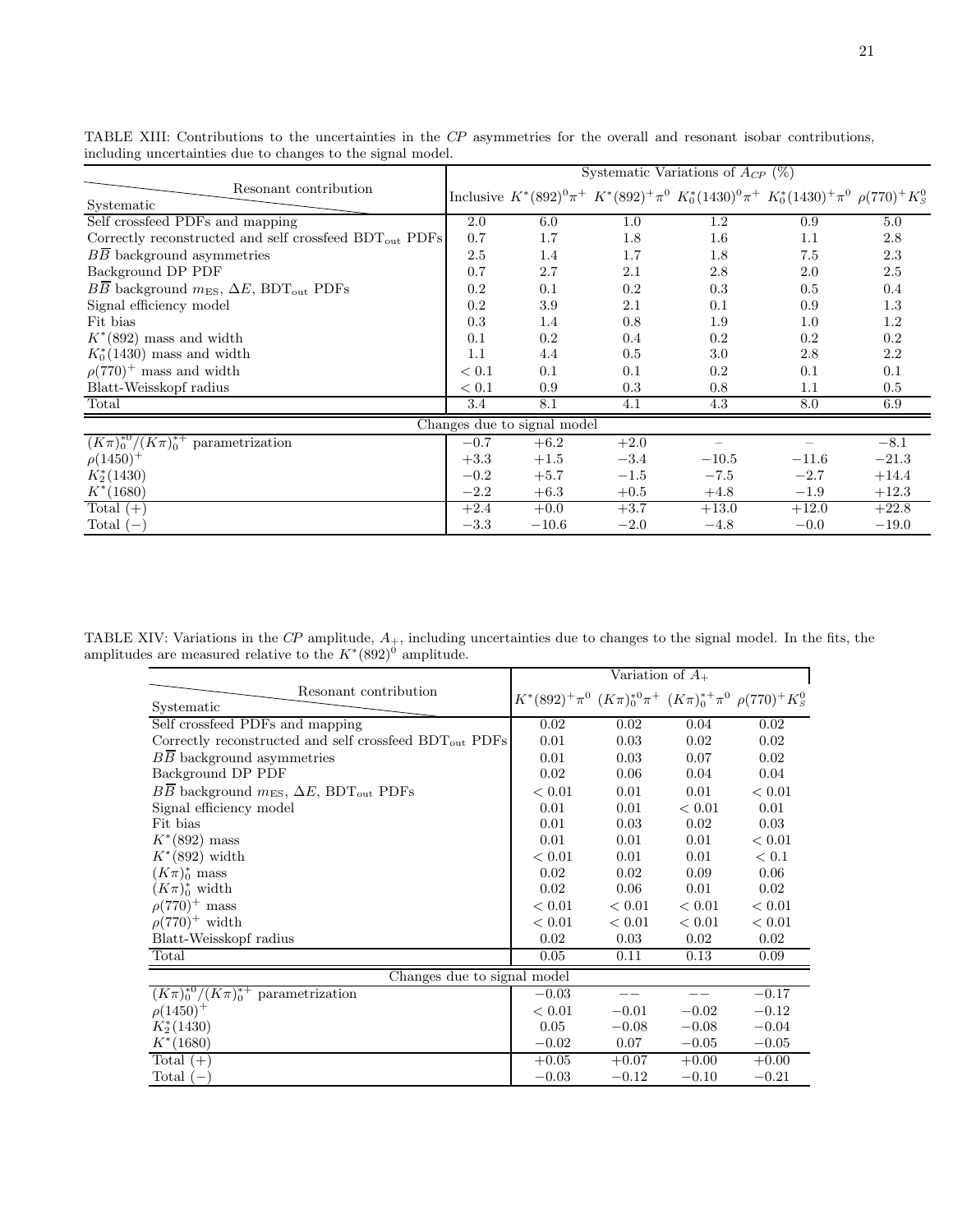|                                                                            | Systematic Variations of $A_{CP}$ (%) |         |        |                                                                                                            |         |         |
|----------------------------------------------------------------------------|---------------------------------------|---------|--------|------------------------------------------------------------------------------------------------------------|---------|---------|
| Resonant contribution<br>Systematic                                        |                                       |         |        | Inclusive $K^*(892)^0\pi^+$ $K^*(892)^+\pi^0$ $K_0^*(1430)^0\pi^+$ $K_0^*(1430)^+\pi^0$ $\rho(770)^+K_S^0$ |         |         |
| Self crossfeed PDFs and mapping                                            | 2.0                                   | 6.0     | 1.0    | 1.2                                                                                                        | 0.9     | 5.0     |
| Correctly reconstructed and self crossfeed $BDT_{out}$ PDFs                | 0.7                                   | 1.7     | 1.8    | $1.6\,$                                                                                                    | 1.1     | 2.8     |
| BB background asymmetries                                                  | 2.5                                   | 1.4     | 1.7    | 1.8                                                                                                        | 7.5     | 2.3     |
| Background DP PDF                                                          | 0.7                                   | 2.7     | 2.1    | $2.8\,$                                                                                                    | 2.0     | 2.5     |
| $B\overline{B}$ background $m_{ES}$ , $\Delta E$ , BDT <sub>out</sub> PDFs | 0.2                                   | 0.1     | 0.2    | 0.3                                                                                                        | 0.5     | 0.4     |
| Signal efficiency model                                                    | 0.2                                   | 3.9     | 2.1    | 0.1                                                                                                        | 0.9     | 1.3     |
| Fit bias                                                                   | 0.3                                   | 1.4     | 0.8    | 1.9                                                                                                        | 1.0     | 1.2     |
| $K^*(892)$ mass and width                                                  | 0.1                                   | $0.2\,$ | 0.4    | $0.2\,$                                                                                                    | $0.2\,$ | $0.2\,$ |
| $K_0^*(1430)$ mass and width                                               | 1.1                                   | 4.4     | 0.5    | 3.0                                                                                                        | 2.8     | 2.2     |
| $\rho(770)^+$ mass and width                                               | < 0.1                                 | 0.1     | 0.1    | 0.2                                                                                                        | 0.1     | 0.1     |
| Blatt-Weisskopf radius                                                     | < 0.1                                 | 0.9     | 0.3    | 0.8                                                                                                        | 1.1     | $0.5\,$ |
| Total                                                                      | 3.4                                   | 8.1     | 4.1    | 4.3                                                                                                        | 8.0     | 6.9     |
|                                                                            | Changes due to signal model           |         |        |                                                                                                            |         |         |
| $(K\pi)_0^{*0}/(K\pi)_0^{*+}$ parametrization                              | $-0.7$                                | $+6.2$  | $+2.0$ |                                                                                                            |         | $-8.1$  |
| $\rho(1450)^+$                                                             | $+3.3$                                | $+1.5$  | $-3.4$ | $-10.5$                                                                                                    | $-11.6$ | $-21.3$ |
| $K_2^*(1430)$                                                              | $-0.2$                                | $+5.7$  | $-1.5$ | $-7.5$                                                                                                     | $-2.7$  | $+14.4$ |
| $K^*(1680)$                                                                | $-2.2$                                | $+6.3$  | $+0.5$ | $+4.8$                                                                                                     | $-1.9$  | $+12.3$ |
| Total $(+)$                                                                | $+2.4$                                | $+0.0$  | $+3.7$ | $+13.0$                                                                                                    | $+12.0$ | $+22.8$ |
| Total $(-)$                                                                | $-3.3$                                | $-10.6$ | $-2.0$ | $-4.8$                                                                                                     | $-0.0$  | $-19.0$ |

<span id="page-20-0"></span>TABLE XIII: Contributions to the uncertainties in the CP asymmetries for the overall and resonant isobar contributions, including uncertainties due to changes to the signal model.

TABLE XIV: Variations in the  $\mathbb{CP}$  amplitude,  $A_+$ , including uncertainties due to changes to the signal model. In the fits, the amplitudes are measured relative to the  $K^*(892)^0$  amplitude.

<span id="page-20-1"></span>

|                                                                            | Variation of $A_{+}$                                                           |         |         |         |  |
|----------------------------------------------------------------------------|--------------------------------------------------------------------------------|---------|---------|---------|--|
| Resonant contribution                                                      | $K^*(892)^+\pi^0$ $(K\pi)_0^{*0}\pi^+$ $(K\pi)_0^{*+}\pi^0$ $\rho(770)^+K_S^0$ |         |         |         |  |
| Systematic                                                                 |                                                                                |         |         |         |  |
| Self crossfeed PDFs and mapping                                            | 0.02                                                                           | 0.02    | 0.04    | 0.02    |  |
| Correctly reconstructed and self crossfeed $BDT_{out}$ PDFs                | 0.01                                                                           | 0.03    | 0.02    | 0.02    |  |
| BB background asymmetries                                                  | 0.01                                                                           | 0.03    | 0.07    | 0.02    |  |
| Background DP PDF                                                          | 0.02                                                                           | 0.06    | 0.04    | 0.04    |  |
| $B\overline{B}$ background $m_{ES}$ , $\Delta E$ , BDT <sub>out</sub> PDFs | < 0.01                                                                         | 0.01    | 0.01    | < 0.01  |  |
| Signal efficiency model                                                    | 0.01                                                                           | 0.01    | < 0.01  | 0.01    |  |
| Fit bias                                                                   | 0.01                                                                           | 0.03    | 0.02    | 0.03    |  |
| $K^*(892)$ mass                                                            | 0.01                                                                           | 0.01    | 0.01    | < 0.01  |  |
| $K^*(892)$ width                                                           | < 0.01                                                                         | 0.01    | 0.01    | < 0.1   |  |
| $(K\pi)_0^*$ mass                                                          | 0.02                                                                           | 0.02    | 0.09    | 0.06    |  |
| $(K\pi)_0^*$ width                                                         | 0.02                                                                           | 0.06    | 0.01    | 0.02    |  |
| $\rho(770)^+$ mass                                                         | < 0.01                                                                         | < 0.01  | < 0.01  | < 0.01  |  |
| $\rho(770)^+$ width                                                        | < 0.01                                                                         | < 0.01  | < 0.01  | < 0.01  |  |
| Blatt-Weisskopf radius                                                     | 0.02                                                                           | 0.03    | 0.02    | 0.02    |  |
| Total                                                                      | 0.05                                                                           | 0.11    | 0.13    | 0.09    |  |
| Changes due to signal model                                                |                                                                                |         |         |         |  |
| $(K\pi)_0^{*0}/(K\pi)_0^{*+}$ parametrization                              | $-0.03$                                                                        |         |         | $-0.17$ |  |
| $\rho(1450)^{+}$                                                           | < 0.01                                                                         | $-0.01$ | $-0.02$ | $-0.12$ |  |
| $K_2^*(1430)$                                                              | 0.05                                                                           | $-0.08$ | $-0.08$ | $-0.04$ |  |
| $K^*(1680)$                                                                | $-0.02$                                                                        | 0.07    | $-0.05$ | $-0.05$ |  |
| Total $(+)$                                                                | $+0.05$                                                                        | $+0.07$ | $+0.00$ | $+0.00$ |  |
| Total $(-)$                                                                | $-0.03$                                                                        | $-0.12$ | $-0.10$ | $-0.21$ |  |